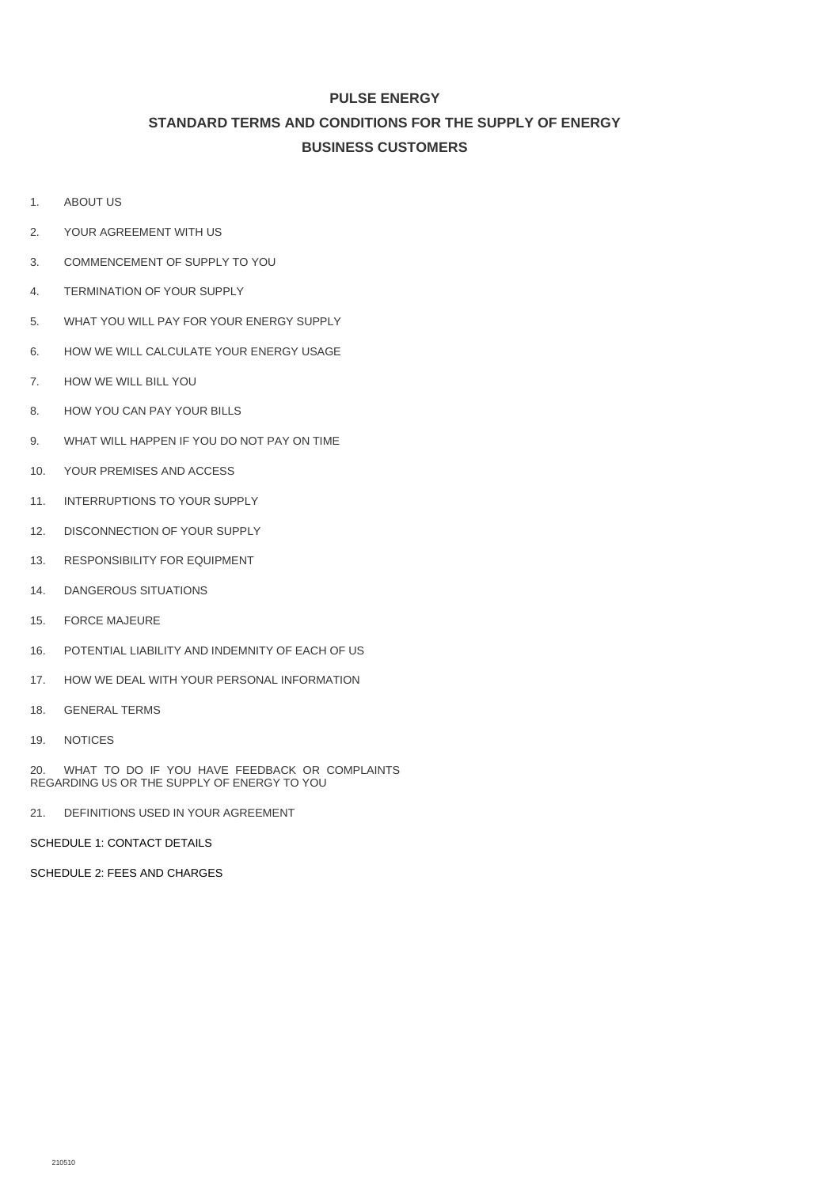# **PULSE ENERGY STANDARD TERMS AND CONDITIONS FOR THE SUPPLY OF ENERGY BUSINESS CUSTOMERS**

- 1. [ABOUT US](#page-1-0)
- 2. [YOUR AGREEMENT WITH US](#page-1-1)
- 3. [COMMENCEMENT OF SUPPLY TO YOU](#page-1-2)
- 4. [TERMINATION OF YOUR SUPPLY](#page-1-3)
- 5. [WHAT YOU WILL PAY FOR YOUR ENERGY SUPPLY](#page-1-4)
- 6. [HOW WE WILL CALCULATE YOUR ENERGY USAGE](#page-2-0)
- 7. HOW WE [WILL BILL YOU](#page-3-0)
- 8. [HOW YOU CAN PAY YOUR BILLS](#page-3-1)
- 9. [WHAT WILL HAPPEN IF YOU DO NOT PAY ON TIME](#page-3-2)
- 10. [YOUR PREMISES AND ACCESS](#page-4-0)
- 11. [INTERRUPTIONS TO YOUR SUPPLY](#page-4-1)
- 12. [DISCONNECTION OF YOUR SUPPLY](#page-5-0)
- 13. [RESPONSIBILITY FOR EQUIPMENT](#page-6-0)
- 14. [DANGEROUS SITUATIONS](#page-7-0)
- 15. [FORCE MAJEURE](#page-7-1)
- 16. [POTENTIAL LIABILITY AND INDEMNITY OF EACH OF US](#page-8-0)
- 17. [HOW WE DEAL WITH YOUR PERSONAL INFORMATION](#page-9-0)
- 18. [GENERAL TERMS](#page-9-1)
- 19. [NOTICES](#page-10-0)

20. [WHAT TO DO IF YOU HAVE FEEDBACK OR COMPLAINTS](#page-10-1)  [REGARDING US OR THE SUPPLY OF ENERGY TO YOU](#page-10-1)

21. [DEFINITIONS USED IN YOUR AGREEMENT](#page-10-2)

[SCHEDULE 1:](#page-12-0) CONTACT DETAILS

[SCHEDULE 2:](#page-13-0) FEES AND CHARGES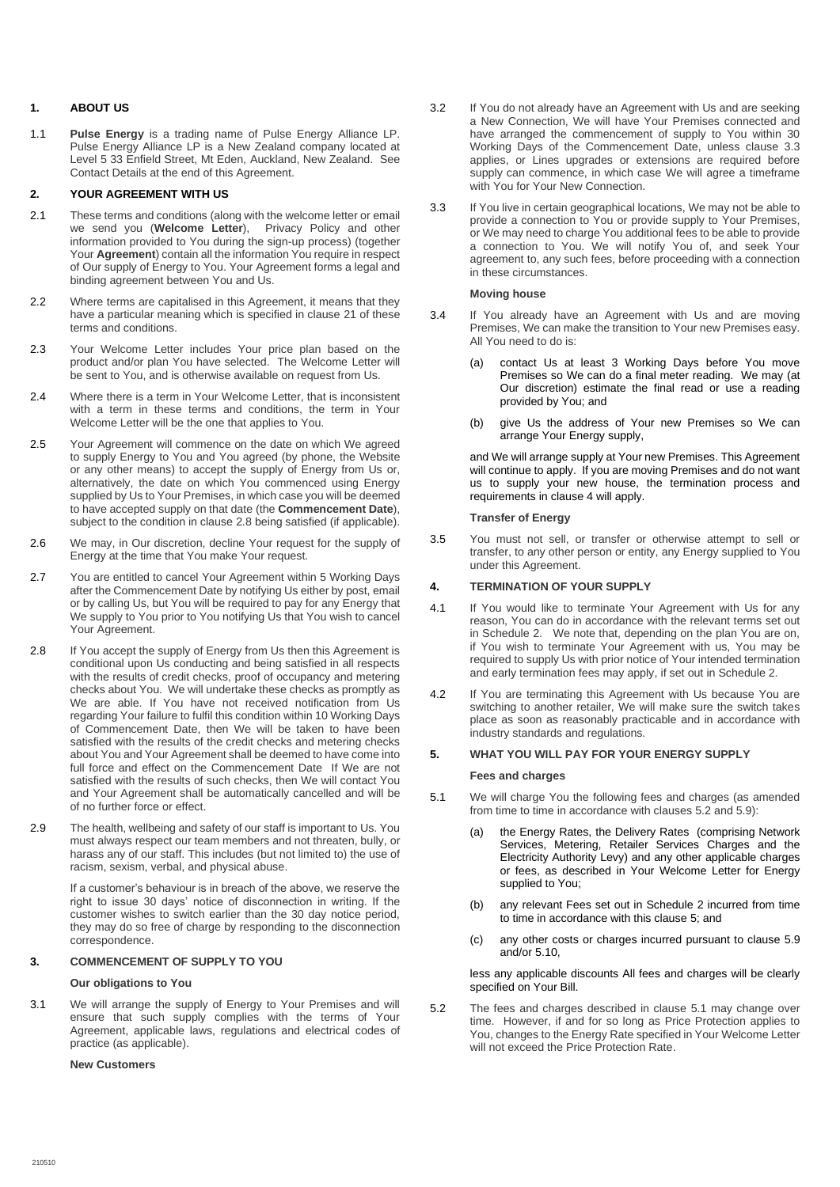## <span id="page-1-0"></span>**1. ABOUT US**

1.1 **Pulse Energy** is a trading name of Pulse Energy Alliance LP. Pulse Energy Alliance LP is a New Zealand company located at Level 5 33 Enfield Street, Mt Eden, Auckland, New Zealand. See Contact Details at the end of this Agreement.

## <span id="page-1-1"></span>**2. YOUR AGREEMENT WITH US**

- <span id="page-1-9"></span>2.1 These terms and conditions (along with the welcome letter or email we send you (**Welcome Letter**), Privacy Policy and other information provided to You during the sign-up process) (together Your **Agreement**) contain all the information You require in respect of Our supply of Energy to You. Your Agreement forms a legal and binding agreement between You and Us.
- 2.2 Where terms are capitalised in this Agreement, it means that they have a particular meaning which is specified in claus[e 21](#page-10-2) of these terms and conditions.
- 2.3 Your Welcome Letter includes Your price plan based on the product and/or plan You have selected. The Welcome Letter will be sent to You, and is otherwise available on request from Us.
- 2.4 Where there is a term in Your Welcome Letter, that is inconsistent with a term in these terms and conditions, the term in Your Welcome Letter will be the one that applies to You.
- 2.5 Your Agreement will commence on the date on which We agreed to supply Energy to You and You agreed (by phone, the Website or any other means) to accept the supply of Energy from Us or, alternatively, the date on which You commenced using Energy supplied by Us to Your Premises, in which case you will be deemed to have accepted supply on that date (the **Commencement Date**), subject to the condition in claus[e 2.8](#page-1-5) being satisfied (if applicable).
- 2.6 We may, in Our discretion, decline Your request for the supply of Energy at the time that You make Your request.
- 2.7 You are entitled to cancel Your Agreement within 5 Working Days after the Commencement Date by notifying Us either by post, email or by calling Us, but You will be required to pay for any Energy that We supply to You prior to You notifying Us that You wish to cancel Your Agreement.
- <span id="page-1-5"></span>2.8 If You accept the supply of Energy from Us then this Agreement is conditional upon Us conducting and being satisfied in all respects with the results of credit checks, proof of occupancy and metering checks about You. We will undertake these checks as promptly as We are able. If You have not received notification from Us regarding Your failure to fulfil this condition within 10 Working Days of Commencement Date, then We will be taken to have been satisfied with the results of the credit checks and metering checks about You and Your Agreement shall be deemed to have come into full force and effect on the Commencement Date If We are not satisfied with the results of such checks, then We will contact You and Your Agreement shall be automatically cancelled and will be of no further force or effect.
- 2.9 The health, wellbeing and safety of our staff is important to Us. You must always respect our team members and not threaten, bully, or harass any of our staff. This includes (but not limited to) the use of racism, sexism, verbal, and physical abuse.

If a customer's behaviour is in breach of the above, we reserve the right to issue 30 days' notice of disconnection in writing. If the customer wishes to switch earlier than the 30 day notice period, they may do so free of charge by responding to the disconnection correspondence.

## <span id="page-1-2"></span>**3. COMMENCEMENT OF SUPPLY TO YOU**

#### **Our obligations to You**

3.1 We will arrange the supply of Energy to Your Premises and will ensure that such supply complies with the terms of Your Agreement, applicable laws, regulations and electrical codes of practice (as applicable).

## **New Customers**

- 3.2 If You do not already have an Agreement with Us and are seeking a New Connection, We will have Your Premises connected and have arranged the commencement of supply to You within 30 Working Days of the Commencement Date, unless clause [3.3](#page-1-6) applies, or Lines upgrades or extensions are required before supply can commence, in which case We will agree a timeframe with You for Your New Connection.
- <span id="page-1-6"></span>3.3 If You live in certain geographical locations, We may not be able to provide a connection to You or provide supply to Your Premises, or We may need to charge You additional fees to be able to provide a connection to You. We will notify You of, and seek Your agreement to, any such fees, before proceeding with a connection in these circumstances.

#### **Moving house**

- 3.4 If You already have an Agreement with Us and are moving Premises, We can make the transition to Your new Premises easy. All You need to do is:
	- (a) contact Us at least 3 Working Days before You move Premises so We can do a final meter reading. We may (at Our discretion) estimate the final read or use a reading provided by You; and
	- (b) give Us the address of Your new Premises so We can arrange Your Energy supply,

and We will arrange supply at Your new Premises. This Agreement will continue to apply. If you are moving Premises and do not want us to supply your new house, the termination process and requirements in clause [4](#page-1-3) will apply.

## **Transfer of Energy**

3.5 You must not sell, or transfer or otherwise attempt to sell or transfer, to any other person or entity, any Energy supplied to You under this Agreement.

## <span id="page-1-3"></span>**4. TERMINATION OF YOUR SUPPLY**

- 4.1 If You would like to terminate Your Agreement with Us for any reason, You can do in accordance with the relevant terms set out in Schedule 2. We note that, depending on the plan You are on, if You wish to terminate Your Agreement with us, You may be required to supply Us with prior notice of Your intended termination and early termination fees may apply, if set out in Schedule 2.
- 4.2 If You are terminating this Agreement with Us because You are switching to another retailer, We will make sure the switch takes place as soon as reasonably practicable and in accordance with industry standards and regulations.

### <span id="page-1-4"></span>**5. WHAT YOU WILL PAY FOR YOUR ENERGY SUPPLY**

#### **Fees and charges**

- <span id="page-1-8"></span>5.1 We will charge You the following fees and charges (as amended from time to time in accordance with clauses [5.2](#page-1-7) and 5.9):
	- (a) the Energy Rates, the Delivery Rates (comprising Network Services, Metering, Retailer Services Charges and the Electricity Authority Levy) and any other applicable charges or fees, as described in Your Welcome Letter for Energy supplied to You;
	- (b) any relevant Fees set out in Schedule 2 incurred from time to time in accordance with this clause [5;](#page-1-4) and
	- (c) any other costs or charges incurred pursuant to clause 5.9 and/or 5.10,

less any applicable discounts All fees and charges will be clearly specified on Your Bill.

<span id="page-1-7"></span>5.2 The fees and charges described in clause [5.1](#page-1-8) may change over time. However, if and for so long as Price Protection applies to You, changes to the Energy Rate specified in Your Welcome Letter will not exceed the Price Protection Rate.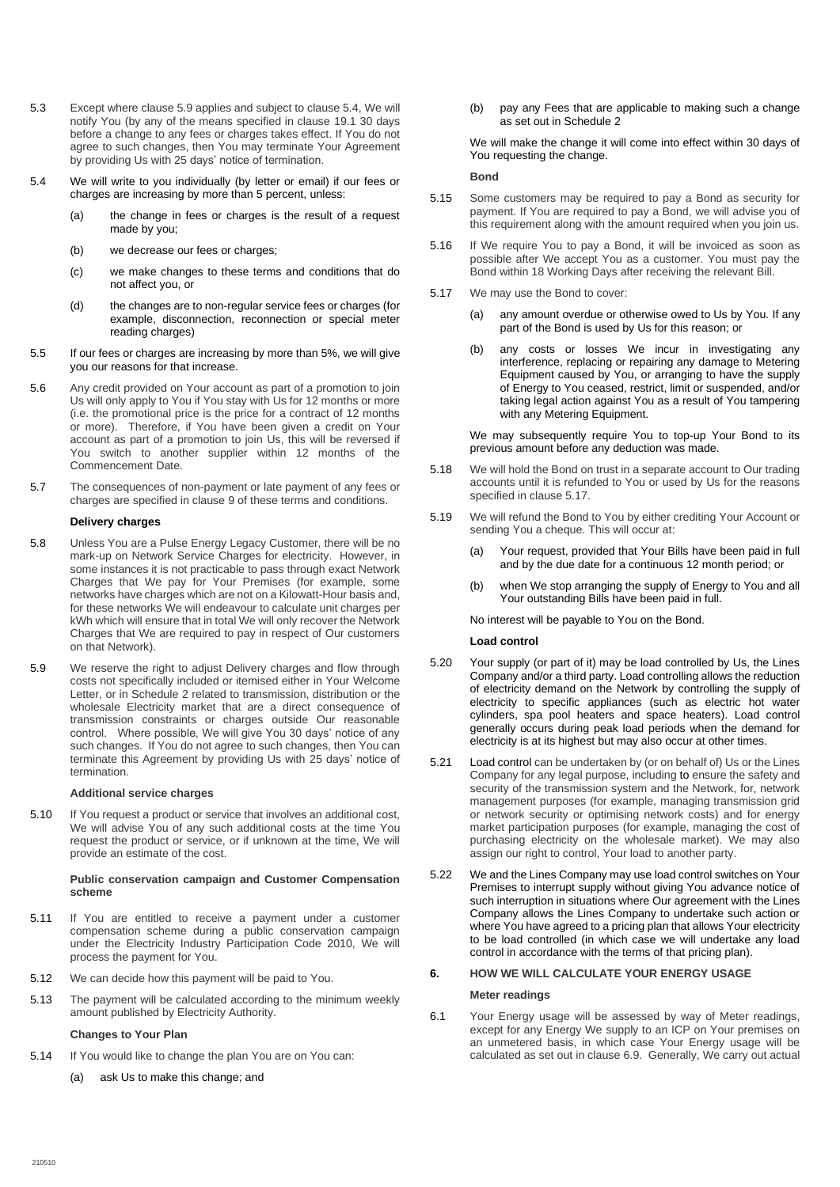- 5.3 Except where clause 5.9 applies and subject to clause [5.4,](#page-2-1) We will notify You (by any of the means specified in claus[e 19.1](#page-10-3) 30 days before a change to any fees or charges takes effect. If You do not agree to such changes, then You may terminate Your Agreement by providing Us with 25 days' notice of termination.
- <span id="page-2-1"></span>5.4 We will write to you individually (by letter or email) if our fees or charges are increasing by more than 5 percent, unless:
	- (a) the change in fees or charges is the result of a request made by you;
	- (b) we decrease our fees or charges;
	- (c) we make changes to these terms and conditions that do not affect you, or
	- (d) the changes are to non-regular service fees or charges (for example, disconnection, reconnection or special meter reading charges)
- 5.5 If our fees or charges are increasing by more than 5%, we will give you our reasons for that increase.
- 5.6 Any credit provided on Your account as part of a promotion to join Us will only apply to You if You stay with Us for 12 months or more (i.e. the promotional price is the price for a contract of 12 months or more). Therefore, if You have been given a credit on Your account as part of a promotion to join Us, this will be reversed if You switch to another supplier within 12 months of the Commencement Date.
- 5.7 The consequences of non-payment or late payment of any fees or charges are specified in clause 9 of these terms and conditions.

#### **Delivery charges**

- 5.8 Unless You are a Pulse Energy Legacy Customer, there will be no mark-up on Network Service Charges for electricity. However, in some instances it is not practicable to pass through exact Network Charges that We pay for Your Premises (for example, some networks have charges which are not on a Kilowatt-Hour basis and, for these networks We will endeavour to calculate unit charges per kWh which will ensure that in total We will only recover the Network Charges that We are required to pay in respect of Our customers on that Network).
- 5.9 We reserve the right to adjust Delivery charges and flow through costs not specifically included or itemised either in Your Welcome Letter, or in Schedule 2 related to transmission, distribution or the wholesale Electricity market that are a direct consequence of transmission constraints or charges outside Our reasonable control. Where possible, We will give You 30 days' notice of any such changes. If You do not agree to such changes, then You can terminate this Agreement by providing Us with 25 days' notice of termination.

### **Additional service charges**

5.10 If You request a product or service that involves an additional cost, We will advise You of any such additional costs at the time You request the product or service, or if unknown at the time, We will provide an estimate of the cost.

#### **Public conservation campaign and Customer Compensation scheme**

- 5.11 If You are entitled to receive a payment under a customer compensation scheme during a public conservation campaign under the Electricity Industry Participation Code 2010, We will process the payment for You.
- 5.12 We can decide how this payment will be paid to You.
- 5.13 The payment will be calculated according to the minimum weekly amount published by Electricity Authority.

## **Changes to Your Plan**

- 5.14 If You would like to change the plan You are on You can:
	- (a) ask Us to make this change; and

(b) pay any Fees that are applicable to making such a change as set out in Schedule 2

## We will make the change it will come into effect within 30 days of You requesting the change.

## **Bond**

- 5.15 Some customers may be required to pay a Bond as security for payment. If You are required to pay a Bond, we will advise you of this requirement along with the amount required when you join us.
- 5.16 If We require You to pay a Bond, it will be invoiced as soon as possible after We accept You as a customer. You must pay the Bond within 18 Working Days after receiving the relevant Bill.
- 5.17 We may use the Bond to cover:
	- (a) any amount overdue or otherwise owed to Us by You. If any part of the Bond is used by Us for this reason; or
	- (b) any costs or losses We incur in investigating any interference, replacing or repairing any damage to Metering Equipment caused by You, or arranging to have the supply of Energy to You ceased, restrict, limit or suspended, and/or taking legal action against You as a result of You tampering with any Metering Equipment.

We may subsequently require You to top-up Your Bond to its previous amount before any deduction was made.

- 5.18 We will hold the Bond on trust in a separate account to Our trading accounts until it is refunded to You or used by Us for the reasons specified in clause 5.17.
- 5.19 We will refund the Bond to You by either crediting Your Account or sending You a cheque. This will occur at:
	- (a) Your request, provided that Your Bills have been paid in full and by the due date for a continuous 12 month period; or
	- (b) when We stop arranging the supply of Energy to You and all Your outstanding Bills have been paid in full.

No interest will be payable to You on the Bond.

## **Load control**

- 5.20 Your supply (or part of it) may be load controlled by Us, the Lines Company and/or a third party. Load controlling allows the reduction of electricity demand on the Network by controlling the supply of electricity to specific appliances (such as electric hot water cylinders, spa pool heaters and space heaters). Load control generally occurs during peak load periods when the demand for electricity is at its highest but may also occur at other times.
- 5.21 Load control can be undertaken by (or on behalf of) Us or the Lines Company for any legal purpose, including to ensure the safety and security of the transmission system and the Network, for, network management purposes (for example, managing transmission grid or network security or optimising network costs) and for energy market participation purposes (for example, managing the cost of purchasing electricity on the wholesale market). We may also assign our right to control, Your load to another party.
- 5.22 We and the Lines Company may use load control switches on Your Premises to interrupt supply without giving You advance notice of such interruption in situations where Our agreement with the Lines Company allows the Lines Company to undertake such action or where You have agreed to a pricing plan that allows Your electricity to be load controlled (in which case we will undertake any load control in accordance with the terms of that pricing plan).

## <span id="page-2-0"></span>**6. HOW WE WILL CALCULATE YOUR ENERGY USAGE**

#### **Meter readings**

6.1 Your Energy usage will be assessed by way of Meter readings, except for any Energy We supply to an ICP on Your premises on an unmetered basis, in which case Your Energy usage will be calculated as set out in clause 6.9. Generally, We carry out actual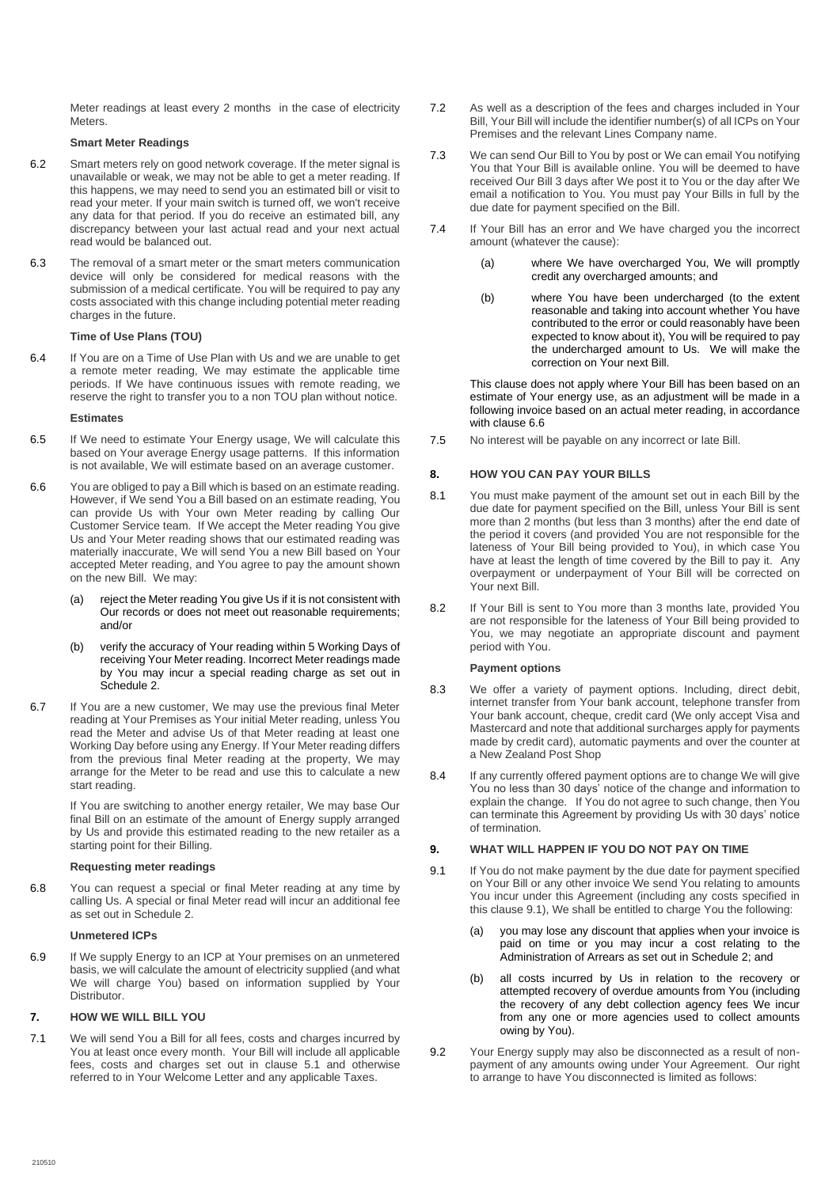Meter readings at least every 2 months in the case of electricity Meters.

## **Smart Meter Readings**

- 6.2 Smart meters rely on good network coverage. If the meter signal is unavailable or weak, we may not be able to get a meter reading. If this happens, we may need to send you an estimated bill or visit to read your meter. If your main switch is turned off, we won't receive any data for that period. If you do receive an estimated bill, any discrepancy between your last actual read and your next actual read would be balanced out.
- 6.3 The removal of a smart meter or the smart meters communication device will only be considered for medical reasons with the submission of a medical certificate. You will be required to pay any costs associated with this change including potential meter reading charges in the future.

## **Time of Use Plans (TOU)**

6.4 If You are on a Time of Use Plan with Us and we are unable to get a remote meter reading, We may estimate the applicable time periods. If We have continuous issues with remote reading, we reserve the right to transfer you to a non TOU plan without notice.

#### **Estimates**

- 6.5 If We need to estimate Your Energy usage, We will calculate this based on Your average Energy usage patterns. If this information is not available, We will estimate based on an average customer.
- 6.6 You are obliged to pay a Bill which is based on an estimate reading. However, if We send You a Bill based on an estimate reading, You can provide Us with Your own Meter reading by calling Our Customer Service team. If We accept the Meter reading You give Us and Your Meter reading shows that our estimated reading was materially inaccurate, We will send You a new Bill based on Your accepted Meter reading, and You agree to pay the amount shown on the new Bill. We may:
	- (a) reject the Meter reading You give Us if it is not consistent with Our records or does not meet out reasonable requirements; and/or
	- (b) verify the accuracy of Your reading within 5 Working Days of receiving Your Meter reading. Incorrect Meter readings made by You may incur a special reading charge as set out in Schedule 2.
- 6.7 If You are a new customer, We may use the previous final Meter reading at Your Premises as Your initial Meter reading, unless You read the Meter and advise Us of that Meter reading at least one Working Day before using any Energy. If Your Meter reading differs from the previous final Meter reading at the property, We may arrange for the Meter to be read and use this to calculate a new start reading.

If You are switching to another energy retailer, We may base Our final Bill on an estimate of the amount of Energy supply arranged by Us and provide this estimated reading to the new retailer as a starting point for their Billing.

#### **Requesting meter readings**

6.8 You can request a special or final Meter reading at any time by calling Us. A special or final Meter read will incur an additional fee as set out in Schedule 2.

#### **Unmetered ICPs**

6.9 If We supply Energy to an ICP at Your premises on an unmetered basis, we will calculate the amount of electricity supplied (and what We will charge You) based on information supplied by Your Distributor.

## <span id="page-3-0"></span>**7. HOW WE WILL BILL YOU**

7.1 We will send You a Bill for all fees, costs and charges incurred by You at least once every month. Your Bill will include all applicable fees, costs and charges set out in clause [5.1](#page-1-8) and otherwise referred to in Your Welcome Letter and any applicable Taxes.

- 7.2 As well as a description of the fees and charges included in Your Bill, Your Bill will include the identifier number(s) of all ICPs on Your Premises and the relevant Lines Company name.
- 7.3 We can send Our Bill to You by post or We can email You notifying You that Your Bill is available online. You will be deemed to have received Our Bill 3 days after We post it to You or the day after We email a notification to You. You must pay Your Bills in full by the due date for payment specified on the Bill.
- 7.4 If Your Bill has an error and We have charged you the incorrect amount (whatever the cause):
	- (a) where We have overcharged You, We will promptly credit any overcharged amounts; and
	- (b) where You have been undercharged (to the extent reasonable and taking into account whether You have contributed to the error or could reasonably have been expected to know about it), You will be required to pay the undercharged amount to Us. We will make the correction on Your next Bill.

This clause does not apply where Your Bill has been based on an estimate of Your energy use, as an adjustment will be made in a following invoice based on an actual meter reading, in accordance with clause 6.6

7.5 No interest will be payable on any incorrect or late Bill.

## <span id="page-3-1"></span>**8. HOW YOU CAN PAY YOUR BILLS**

- 8.1 You must make payment of the amount set out in each Bill by the due date for payment specified on the Bill, unless Your Bill is sent more than 2 months (but less than 3 months) after the end date of the period it covers (and provided You are not responsible for the lateness of Your Bill being provided to You), in which case You have at least the length of time covered by the Bill to pay it. Any overpayment or underpayment of Your Bill will be corrected on Your next Bill.
- 8.2 If Your Bill is sent to You more than 3 months late, provided You are not responsible for the lateness of Your Bill being provided to You, we may negotiate an appropriate discount and payment period with You.

#### **Payment options**

- 8.3 We offer a variety of payment options. Including, direct debit, internet transfer from Your bank account, telephone transfer from Your bank account, cheque, credit card (We only accept Visa and Mastercard and note that additional surcharges apply for payments made by credit card), automatic payments and over the counter at a New Zealand Post Shop
- 8.4 If any currently offered payment options are to change We will give You no less than 30 days' notice of the change and information to explain the change. If You do not agree to such change, then You can terminate this Agreement by providing Us with 30 days' notice of termination.

## <span id="page-3-2"></span>**9. WHAT WILL HAPPEN IF YOU DO NOT PAY ON TIME**

- <span id="page-3-3"></span>9.1 If You do not make payment by the due date for payment specified on Your Bill or any other invoice We send You relating to amounts You incur under this Agreement (including any costs specified in this claus[e 9.1\)](#page-3-3), We shall be entitled to charge You the following:
	- (a) you may lose any discount that applies when your invoice is paid on time or you may incur a cost relating to the Administration of Arrears as set out in Schedule 2; and
	- (b) all costs incurred by Us in relation to the recovery or attempted recovery of overdue amounts from You (including the recovery of any debt collection agency fees We incur from any one or more agencies used to collect amounts owing by You).
- 9.2 Your Energy supply may also be disconnected as a result of nonpayment of any amounts owing under Your Agreement. Our right to arrange to have You disconnected is limited as follows: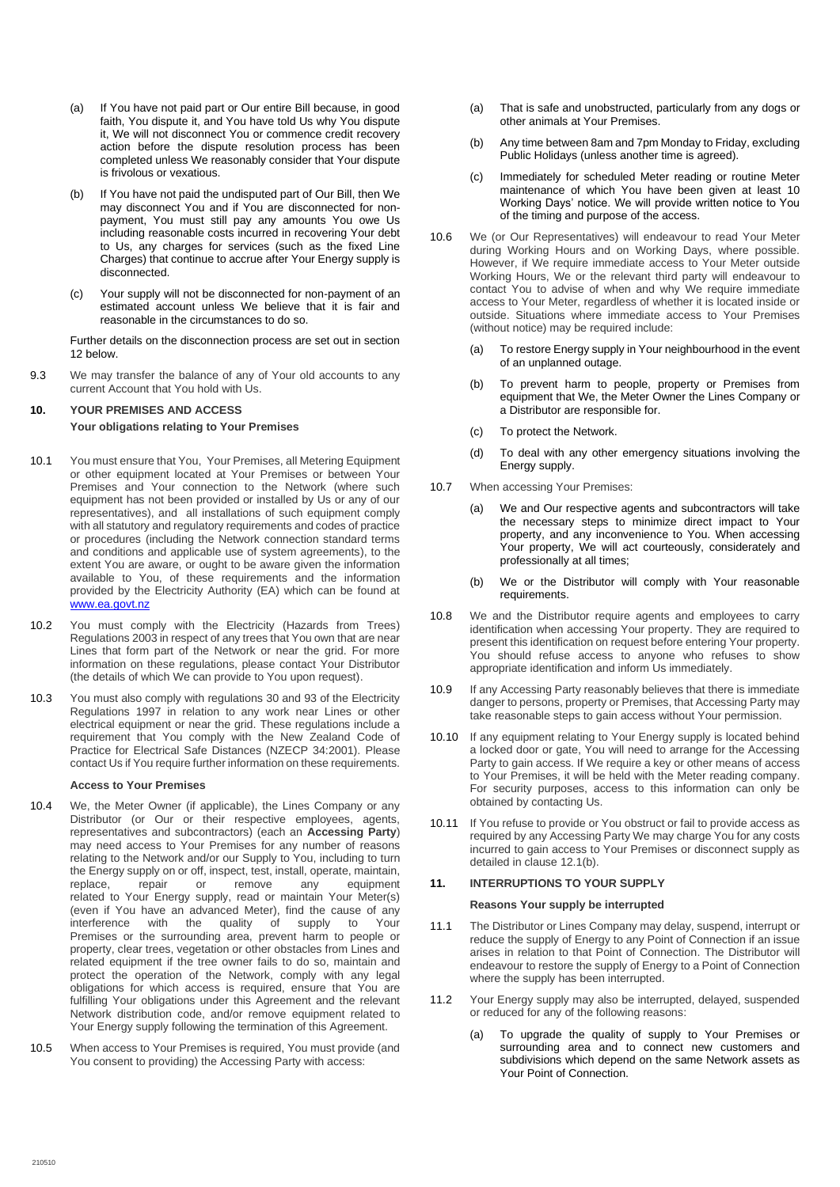- (a) If You have not paid part or Our entire Bill because, in good faith, You dispute it, and You have told Us why You dispute it, We will not disconnect You or commence credit recovery action before the dispute resolution process has been completed unless We reasonably consider that Your dispute is frivolous or vexatious.
- (b) If You have not paid the undisputed part of Our Bill, then We may disconnect You and if You are disconnected for nonpayment, You must still pay any amounts You owe Us including reasonable costs incurred in recovering Your debt to Us, any charges for services (such as the fixed Line Charges) that continue to accrue after Your Energy supply is disconnected.
- (c) Your supply will not be disconnected for non-payment of an estimated account unless We believe that it is fair and reasonable in the circumstances to do so.

Further details on the disconnection process are set out in section 12 below.

9.3 We may transfer the balance of any of Your old accounts to any current Account that You hold with Us.

## <span id="page-4-0"></span>**10. YOUR PREMISES AND ACCESS**

## **Your obligations relating to Your Premises**

- 10.1 You must ensure that You, Your Premises, all Metering Equipment or other equipment located at Your Premises or between Your Premises and Your connection to the Network (where such equipment has not been provided or installed by Us or any of our representatives), and all installations of such equipment comply with all statutory and regulatory requirements and codes of practice or procedures (including the Network connection standard terms and conditions and applicable use of system agreements), to the extent You are aware, or ought to be aware given the information available to You, of these requirements and the information provided by the Electricity Authority (EA) which can be found at [www.ea.govt.nz](http://www.ea.govt.nz/)
- 10.2 You must comply with the Electricity (Hazards from Trees) Regulations 2003 in respect of any trees that You own that are near Lines that form part of the Network or near the grid. For more information on these regulations, please contact Your Distributor (the details of which We can provide to You upon request).
- 10.3 You must also comply with regulations 30 and 93 of the Electricity Regulations 1997 in relation to any work near Lines or other electrical equipment or near the grid. These regulations include a requirement that You comply with the New Zealand Code of Practice for Electrical Safe Distances (NZECP 34:2001). Please contact Us if You require further information on these requirements.

#### **Access to Your Premises**

- <span id="page-4-2"></span>10.4 We, the Meter Owner (if applicable), the Lines Company or any Distributor (or Our or their respective employees, agents, representatives and subcontractors) (each an **Accessing Party**) may need access to Your Premises for any number of reasons relating to the Network and/or our Supply to You, including to turn the Energy supply on or off, inspect, test, install, operate, maintain, replace, repair or remove any equipment related to Your Energy supply, read or maintain Your Meter(s) (even if You have an advanced Meter), find the cause of any  $interference$  with the quality of supply to Premises or the surrounding area, prevent harm to people or property, clear trees, vegetation or other obstacles from Lines and related equipment if the tree owner fails to do so, maintain and protect the operation of the Network, comply with any legal obligations for which access is required, ensure that You are fulfilling Your obligations under this Agreement and the relevant Network distribution code, and/or remove equipment related to Your Energy supply following the termination of this Agreement.
- 10.5 When access to Your Premises is required, You must provide (and You consent to providing) the Accessing Party with access:
- (a) That is safe and unobstructed, particularly from any dogs or other animals at Your Premises.
- (b) Any time between 8am and 7pm Monday to Friday, excluding Public Holidays (unless another time is agreed).
- (c) Immediately for scheduled Meter reading or routine Meter maintenance of which You have been given at least 10 Working Days' notice. We will provide written notice to You of the timing and purpose of the access.
- 10.6 We (or Our Representatives) will endeavour to read Your Meter during Working Hours and on Working Days, where possible. However, if We require immediate access to Your Meter outside Working Hours, We or the relevant third party will endeavour to contact You to advise of when and why We require immediate access to Your Meter, regardless of whether it is located inside or outside. Situations where immediate access to Your Premises (without notice) may be required include:
	- (a) To restore Energy supply in Your neighbourhood in the event of an unplanned outage.
	- (b) To prevent harm to people, property or Premises from equipment that We, the Meter Owner the Lines Company or a Distributor are responsible for.
	- (c) To protect the Network.
	- (d) To deal with any other emergency situations involving the Energy supply.
- 10.7 When accessing Your Premises:
	- (a) We and Our respective agents and subcontractors will take the necessary steps to minimize direct impact to Your property, and any inconvenience to You. When accessing Your property, We will act courteously, considerately and professionally at all times;
		- (b) We or the Distributor will comply with Your reasonable requirements.
- 10.8 We and the Distributor require agents and employees to carry identification when accessing Your property. They are required to present this identification on request before entering Your property. You should refuse access to anyone who refuses to show appropriate identification and inform Us immediately.
- 10.9 If any Accessing Party reasonably believes that there is immediate danger to persons, property or Premises, that Accessing Party may take reasonable steps to gain access without Your permission.
- 10.10 If any equipment relating to Your Energy supply is located behind a locked door or gate, You will need to arrange for the Accessing Party to gain access. If We require a key or other means of access to Your Premises, it will be held with the Meter reading company. For security purposes, access to this information can only be obtained by contacting Us.
- 10.11 If You refuse to provide or You obstruct or fail to provide access as required by any Accessing Party We may charge You for any costs incurred to gain access to Your Premises or disconnect supply as detailed in clause 12.1(b).

## <span id="page-4-1"></span>**11. INTERRUPTIONS TO YOUR SUPPLY**

## **Reasons Your supply be interrupted**

- 11.1 The Distributor or Lines Company may delay, suspend, interrupt or reduce the supply of Energy to any Point of Connection if an issue arises in relation to that Point of Connection. The Distributor will endeavour to restore the supply of Energy to a Point of Connection where the supply has been interrupted.
- 11.2 Your Energy supply may also be interrupted, delayed, suspended or reduced for any of the following reasons:
	- (a) To upgrade the quality of supply to Your Premises or surrounding area and to connect new customers and subdivisions which depend on the same Network assets as Your Point of Connection.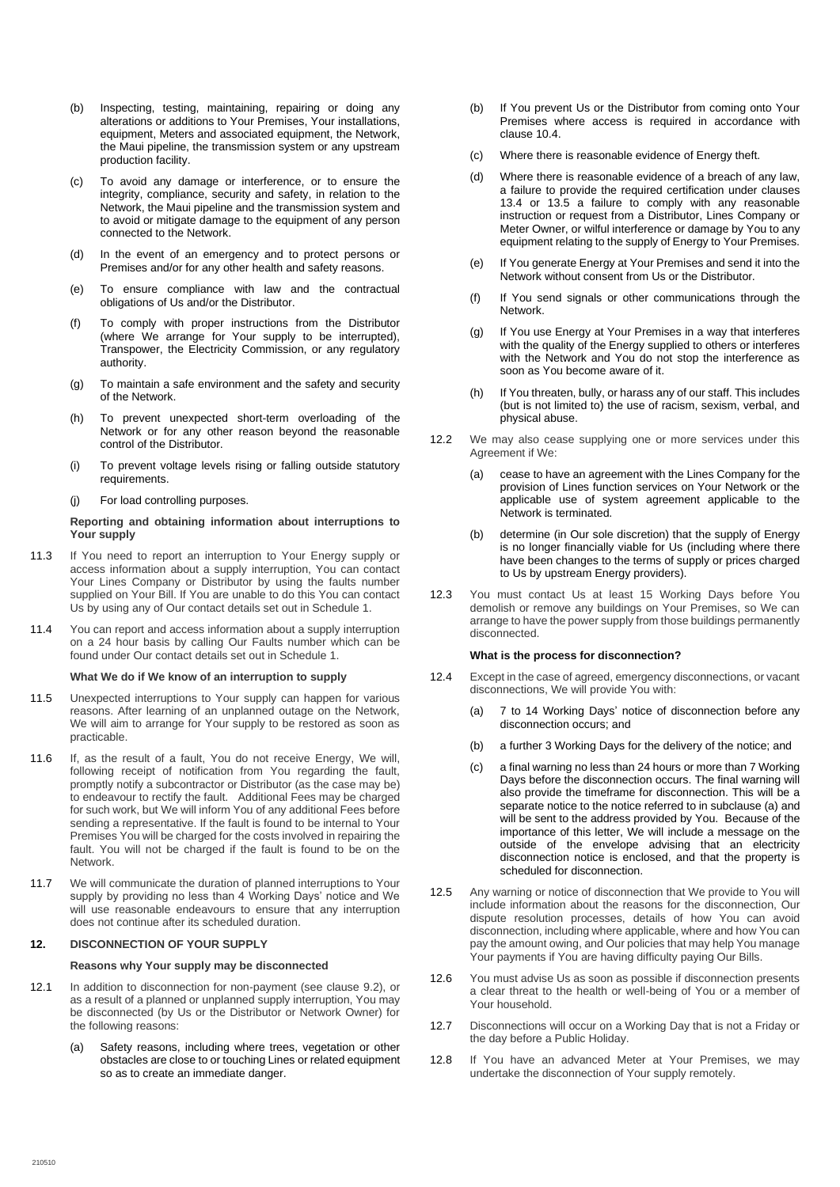- (b) Inspecting, testing, maintaining, repairing or doing any alterations or additions to Your Premises, Your installations, equipment, Meters and associated equipment, the Network, the Maui pipeline, the transmission system or any upstream production facility.
- (c) To avoid any damage or interference, or to ensure the integrity, compliance, security and safety, in relation to the Network, the Maui pipeline and the transmission system and to avoid or mitigate damage to the equipment of any person connected to the Network.
- (d) In the event of an emergency and to protect persons or Premises and/or for any other health and safety reasons.
- (e) To ensure compliance with law and the contractual obligations of Us and/or the Distributor.
- (f) To comply with proper instructions from the Distributor (where We arrange for Your supply to be interrupted), Transpower, the Electricity Commission, or any regulatory authority.
- (g) To maintain a safe environment and the safety and security of the Network.
- (h) To prevent unexpected short-term overloading of the Network or for any other reason beyond the reasonable control of the Distributor.
- (i) To prevent voltage levels rising or falling outside statutory requirements.
- (j) For load controlling purposes.

### **Reporting and obtaining information about interruptions to Your supply**

- 11.3 If You need to report an interruption to Your Energy supply or access information about a supply interruption, You can contact Your Lines Company or Distributor by using the faults number supplied on Your Bill. If You are unable to do this You can contact Us by using any of Our contact details set out in Schedule 1.
- 11.4 You can report and access information about a supply interruption on a 24 hour basis by calling Our Faults number which can be found under Our contact details set out in Schedule 1.

#### **What We do if We know of an interruption to supply**

- 11.5 Unexpected interruptions to Your supply can happen for various reasons. After learning of an unplanned outage on the Network, We will aim to arrange for Your supply to be restored as soon as practicable.
- 11.6 If, as the result of a fault, You do not receive Energy, We will, following receipt of notification from You regarding the fault, promptly notify a subcontractor or Distributor (as the case may be) to endeavour to rectify the fault. Additional Fees may be charged for such work, but We will inform You of any additional Fees before sending a representative. If the fault is found to be internal to Your Premises You will be charged for the costs involved in repairing the fault. You will not be charged if the fault is found to be on the Network.
- 11.7 We will communicate the duration of planned interruptions to Your supply by providing no less than 4 Working Days' notice and We will use reasonable endeavours to ensure that any interruption does not continue after its scheduled duration.

#### <span id="page-5-0"></span>**12. DISCONNECTION OF YOUR SUPPLY**

#### **Reasons why Your supply may be disconnected**

- 12.1 In addition to disconnection for non-payment (see clause 9.2), or as a result of a planned or unplanned supply interruption, You may be disconnected (by Us or the Distributor or Network Owner) for the following reasons:
	- (a) Safety reasons, including where trees, vegetation or other obstacles are close to or touching Lines or related equipment so as to create an immediate danger.
- (b) If You prevent Us or the Distributor from coming onto Your Premises where access is required in accordance with clause [10.4.](#page-4-2)
- (c) Where there is reasonable evidence of Energy theft.
- (d) Where there is reasonable evidence of a breach of any law, a failure to provide the required certification under clauses 13.4 or 13.5 a failure to comply with any reasonable instruction or request from a Distributor, Lines Company or Meter Owner, or wilful interference or damage by You to any equipment relating to the supply of Energy to Your Premises.
- (e) If You generate Energy at Your Premises and send it into the Network without consent from Us or the Distributor.
- (f) If You send signals or other communications through the Network.
- (g) If You use Energy at Your Premises in a way that interferes with the quality of the Energy supplied to others or interferes with the Network and You do not stop the interference as soon as You become aware of it.
- (h) If You threaten, bully, or harass any of our staff. This includes (but is not limited to) the use of racism, sexism, verbal, and physical abuse.
- 12.2 We may also cease supplying one or more services under this Agreement if We:
	- (a) cease to have an agreement with the Lines Company for the provision of Lines function services on Your Network or the applicable use of system agreement applicable to the Network is terminated.
	- (b) determine (in Our sole discretion) that the supply of Energy is no longer financially viable for Us (including where there have been changes to the terms of supply or prices charged to Us by upstream Energy providers).
- 12.3 You must contact Us at least 15 Working Days before You demolish or remove any buildings on Your Premises, so We can arrange to have the power supply from those buildings permanently disconnected.

#### **What is the process for disconnection?**

- <span id="page-5-1"></span>12.4 Except in the case of agreed, emergency disconnections, or vacant disconnections, We will provide You with:
	- (a) 7 to 14 Working Days' notice of disconnection before any disconnection occurs; and
	- (b) a further 3 Working Days for the delivery of the notice; and
	- (c) a final warning no less than 24 hours or more than 7 Working Days before the disconnection occurs. The final warning will also provide the timeframe for disconnection. This will be a separate notice to the notice referred to in subclause (a) and will be sent to the address provided by You. Because of the importance of this letter, We will include a message on the outside of the envelope advising that an electricity disconnection notice is enclosed, and that the property is scheduled for disconnection.
- 12.5 Any warning or notice of disconnection that We provide to You will include information about the reasons for the disconnection, Our dispute resolution processes, details of how You can avoid disconnection, including where applicable, where and how You can pay the amount owing, and Our policies that may help You manage Your payments if You are having difficulty paying Our Bills.
- 12.6 You must advise Us as soon as possible if disconnection presents a clear threat to the health or well-being of You or a member of Your household.
- 12.7 Disconnections will occur on a Working Day that is not a Friday or the day before a Public Holiday.
- 12.8 If You have an advanced Meter at Your Premises, we may undertake the disconnection of Your supply remotely.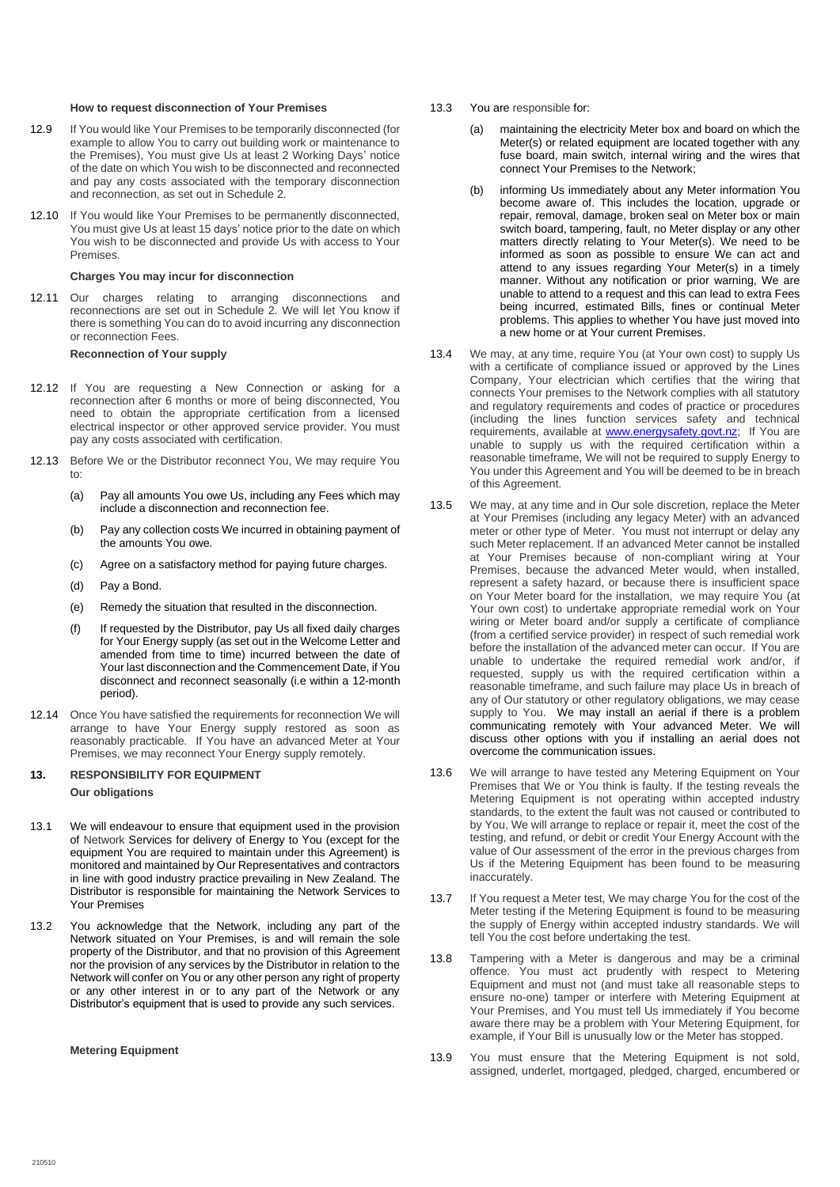#### **How to request disconnection of Your Premises**

- 12.9 If You would like Your Premises to be temporarily disconnected (for example to allow You to carry out building work or maintenance to the Premises), You must give Us at least 2 Working Days' notice of the date on which You wish to be disconnected and reconnected and pay any costs associated with the temporary disconnection and reconnection, as set out in Schedule 2.
- 12.10 If You would like Your Premises to be permanently disconnected, You must give Us at least 15 days' notice prior to the date on which You wish to be disconnected and provide Us with access to Your Premises.

#### **Charges You may incur for disconnection**

12.11 Our charges relating to arranging disconnections and reconnections are set out in Schedule 2. We will let You know if there is something You can do to avoid incurring any disconnection or reconnection Fees.

#### **Reconnection of Your supply**

- 12.12 If You are requesting a New Connection or asking for a reconnection after 6 months or more of being disconnected, You need to obtain the appropriate certification from a licensed electrical inspector or other approved service provider. You must pay any costs associated with certification.
- 12.13 Before We or the Distributor reconnect You, We may require You to:
	- (a) Pay all amounts You owe Us, including any Fees which may include a disconnection and reconnection fee.
	- (b) Pay any collection costs We incurred in obtaining payment of the amounts You owe.
	- (c) Agree on a satisfactory method for paying future charges.
	- (d) Pay a Bond.
	- (e) Remedy the situation that resulted in the disconnection.
	- (f) If requested by the Distributor, pay Us all fixed daily charges for Your Energy supply (as set out in the Welcome Letter and amended from time to time) incurred between the date of Your last disconnection and the Commencement Date, if You disconnect and reconnect seasonally (i.e within a 12-month period).
- 12.14 Once You have satisfied the requirements for reconnection We will arrange to have Your Energy supply restored as soon as reasonably practicable. If You have an advanced Meter at Your Premises, we may reconnect Your Energy supply remotely.

## <span id="page-6-0"></span>**13. RESPONSIBILITY FOR EQUIPMENT Our obligations**

- 13.1 We will endeavour to ensure that equipment used in the provision of Network Services for delivery of Energy to You (except for the equipment You are required to maintain under this Agreement) is monitored and maintained by Our Representatives and contractors in line with good industry practice prevailing in New Zealand. The Distributor is responsible for maintaining the Network Services to Your Premises
- 13.2 You acknowledge that the Network, including any part of the Network situated on Your Premises, is and will remain the sole property of the Distributor, and that no provision of this Agreement nor the provision of any services by the Distributor in relation to the Network will confer on You or any other person any right of property or any other interest in or to any part of the Network or any Distributor's equipment that is used to provide any such services.

#### **Metering Equipment**

- 13.3 You are responsible for:
	- (a) maintaining the electricity Meter box and board on which the Meter(s) or related equipment are located together with any fuse board, main switch, internal wiring and the wires that connect Your Premises to the Network;
	- (b) informing Us immediately about any Meter information You become aware of. This includes the location, upgrade or repair, removal, damage, broken seal on Meter box or main switch board, tampering, fault, no Meter display or any other matters directly relating to Your Meter(s). We need to be informed as soon as possible to ensure We can act and attend to any issues regarding Your Meter(s) in a timely manner. Without any notification or prior warning, We are unable to attend to a request and this can lead to extra Fees being incurred, estimated Bills, fines or continual Meter problems. This applies to whether You have just moved into a new home or at Your current Premises.
- 13.4 We may, at any time, require You (at Your own cost) to supply Us with a certificate of compliance issued or approved by the Lines Company, Your electrician which certifies that the wiring that connects Your premises to the Network complies with all statutory and regulatory requirements and codes of practice or procedures (including the lines function services safety and technical requirements, available at [www.energysafety.govt.nz;](http://www.energysafety.govt.nz/) If You are unable to supply us with the required certification within a reasonable timeframe, We will not be required to supply Energy to You under this Agreement and You will be deemed to be in breach of this Agreement.
- 13.5 We may, at any time and in Our sole discretion, replace the Meter at Your Premises (including any legacy Meter) with an advanced meter or other type of Meter. You must not interrupt or delay any such Meter replacement. If an advanced Meter cannot be installed at Your Premises because of non-compliant wiring at Your Premises, because the advanced Meter would, when installed, represent a safety hazard, or because there is insufficient space on Your Meter board for the installation, we may require You (at Your own cost) to undertake appropriate remedial work on Your wiring or Meter board and/or supply a certificate of compliance (from a certified service provider) in respect of such remedial work before the installation of the advanced meter can occur. If You are unable to undertake the required remedial work and/or, if requested, supply us with the required certification within a reasonable timeframe, and such failure may place Us in breach of any of Our statutory or other regulatory obligations, we may cease supply to You. We may install an aerial if there is a problem communicating remotely with Your advanced Meter. We will discuss other options with you if installing an aerial does not overcome the communication issues.
- 13.6 We will arrange to have tested any Metering Equipment on Your Premises that We or You think is faulty. If the testing reveals the Metering Equipment is not operating within accepted industry standards, to the extent the fault was not caused or contributed to by You, We will arrange to replace or repair it, meet the cost of the testing, and refund, or debit or credit Your Energy Account with the value of Our assessment of the error in the previous charges from Us if the Metering Equipment has been found to be measuring inaccurately.
- 13.7 If You request a Meter test, We may charge You for the cost of the Meter testing if the Metering Equipment is found to be measuring the supply of Energy within accepted industry standards. We will tell You the cost before undertaking the test.
- 13.8 Tampering with a Meter is dangerous and may be a criminal offence. You must act prudently with respect to Metering Equipment and must not (and must take all reasonable steps to ensure no-one) tamper or interfere with Metering Equipment at Your Premises, and You must tell Us immediately if You become aware there may be a problem with Your Metering Equipment, for example, if Your Bill is unusually low or the Meter has stopped.
- 13.9 You must ensure that the Metering Equipment is not sold, assigned, underlet, mortgaged, pledged, charged, encumbered or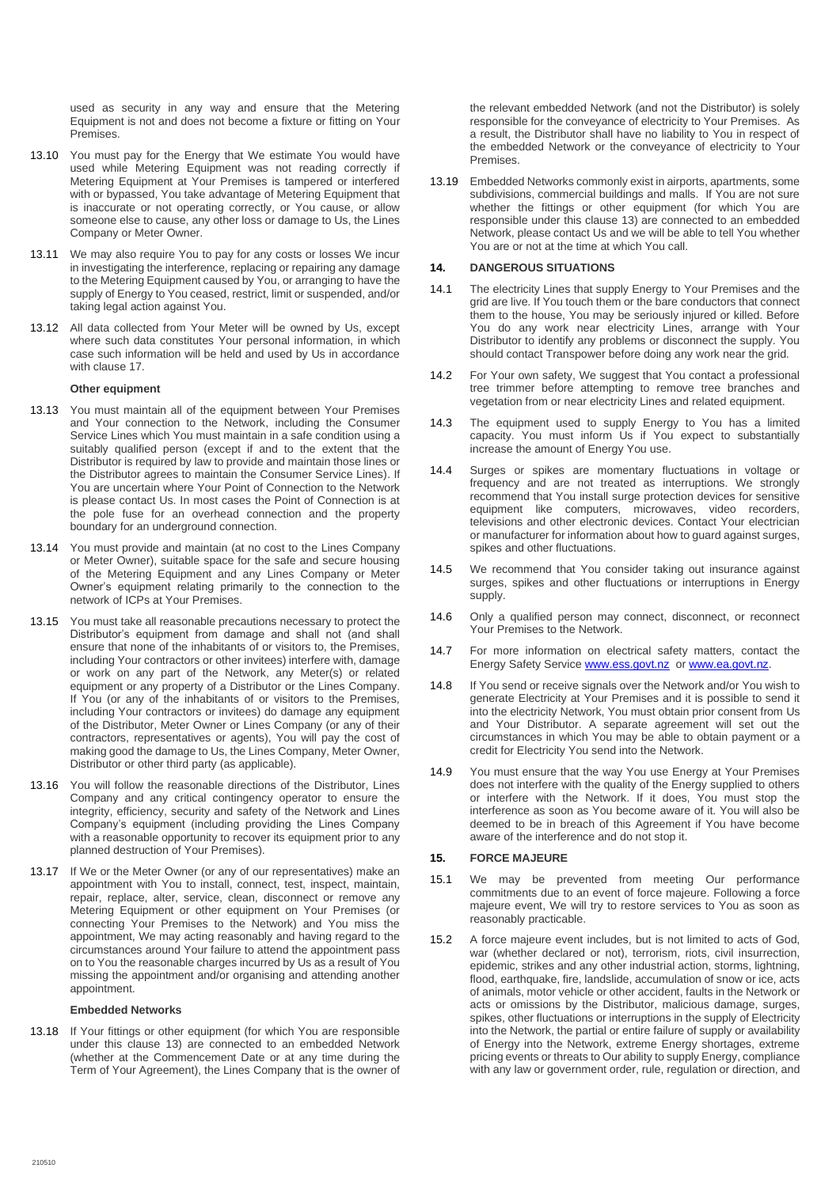used as security in any way and ensure that the Metering Equipment is not and does not become a fixture or fitting on Your Premises.

- 13.10 You must pay for the Energy that We estimate You would have used while Metering Equipment was not reading correctly if Metering Equipment at Your Premises is tampered or interfered with or bypassed, You take advantage of Metering Equipment that is inaccurate or not operating correctly, or You cause, or allow someone else to cause, any other loss or damage to Us, the Lines Company or Meter Owner.
- 13.11 We may also require You to pay for any costs or losses We incur in investigating the interference, replacing or repairing any damage to the Metering Equipment caused by You, or arranging to have the supply of Energy to You ceased, restrict, limit or suspended, and/or taking legal action against You.
- 13.12 All data collected from Your Meter will be owned by Us, except where such data constitutes Your personal information, in which case such information will be held and used by Us in accordance with clause 17.

#### **Other equipment**

- 13.13 You must maintain all of the equipment between Your Premises and Your connection to the Network, including the Consumer Service Lines which You must maintain in a safe condition using a suitably qualified person (except if and to the extent that the Distributor is required by law to provide and maintain those lines or the Distributor agrees to maintain the Consumer Service Lines). If You are uncertain where Your Point of Connection to the Network is please contact Us. In most cases the Point of Connection is at the pole fuse for an overhead connection and the property boundary for an underground connection.
- 13.14 You must provide and maintain (at no cost to the Lines Company or Meter Owner), suitable space for the safe and secure housing of the Metering Equipment and any Lines Company or Meter Owner's equipment relating primarily to the connection to the network of ICPs at Your Premises.
- 13.15 You must take all reasonable precautions necessary to protect the Distributor's equipment from damage and shall not (and shall ensure that none of the inhabitants of or visitors to, the Premises, including Your contractors or other invitees) interfere with, damage or work on any part of the Network, any Meter(s) or related equipment or any property of a Distributor or the Lines Company. If You (or any of the inhabitants of or visitors to the Premises, including Your contractors or invitees) do damage any equipment of the Distributor, Meter Owner or Lines Company (or any of their contractors, representatives or agents), You will pay the cost of making good the damage to Us, the Lines Company, Meter Owner, Distributor or other third party (as applicable).
- 13.16 You will follow the reasonable directions of the Distributor, Lines Company and any critical contingency operator to ensure the integrity, efficiency, security and safety of the Network and Lines Company's equipment (including providing the Lines Company with a reasonable opportunity to recover its equipment prior to any planned destruction of Your Premises).
- 13.17 If We or the Meter Owner (or any of our representatives) make an appointment with You to install, connect, test, inspect, maintain, repair, replace, alter, service, clean, disconnect or remove any Metering Equipment or other equipment on Your Premises (or connecting Your Premises to the Network) and You miss the appointment, We may acting reasonably and having regard to the circumstances around Your failure to attend the appointment pass on to You the reasonable charges incurred by Us as a result of You missing the appointment and/or organising and attending another appointment.

#### **Embedded Networks**

13.18 If Your fittings or other equipment (for which You are responsible under this clause 13) are connected to an embedded Network (whether at the Commencement Date or at any time during the Term of Your Agreement), the Lines Company that is the owner of

the relevant embedded Network (and not the Distributor) is solely responsible for the conveyance of electricity to Your Premises. As a result, the Distributor shall have no liability to You in respect of the embedded Network or the conveyance of electricity to Your Premises.

13.19 Embedded Networks commonly exist in airports, apartments, some subdivisions, commercial buildings and malls. If You are not sure whether the fittings or other equipment (for which You are responsible under this clause 13) are connected to an embedded Network, please contact Us and we will be able to tell You whether You are or not at the time at which You call.

## <span id="page-7-0"></span>**14. DANGEROUS SITUATIONS**

- 14.1 The electricity Lines that supply Energy to Your Premises and the grid are live. If You touch them or the bare conductors that connect them to the house, You may be seriously injured or killed. Before You do any work near electricity Lines, arrange with Your Distributor to identify any problems or disconnect the supply. You should contact Transpower before doing any work near the grid.
- 14.2 For Your own safety, We suggest that You contact a professional tree trimmer before attempting to remove tree branches and vegetation from or near electricity Lines and related equipment.
- 14.3 The equipment used to supply Energy to You has a limited capacity. You must inform Us if You expect to substantially increase the amount of Energy You use.
- 14.4 Surges or spikes are momentary fluctuations in voltage or frequency and are not treated as interruptions. We strongly recommend that You install surge protection devices for sensitive equipment like computers, microwaves, video recorders, televisions and other electronic devices. Contact Your electrician or manufacturer for information about how to guard against surges, spikes and other fluctuations.
- 14.5 We recommend that You consider taking out insurance against surges, spikes and other fluctuations or interruptions in Energy supply.
- 14.6 Only a qualified person may connect, disconnect, or reconnect Your Premises to the Network.
- 14.7 For more information on electrical safety matters, contact the Energy Safety Servic[e www.ess.govt.nz](http://www.ess.govt.nz/) or www.ea.govt.nz
- 14.8 If You send or receive signals over the Network and/or You wish to generate Electricity at Your Premises and it is possible to send it into the electricity Network, You must obtain prior consent from Us and Your Distributor. A separate agreement will set out the circumstances in which You may be able to obtain payment or a credit for Electricity You send into the Network.
- 14.9 You must ensure that the way You use Energy at Your Premises does not interfere with the quality of the Energy supplied to others or interfere with the Network. If it does, You must stop the interference as soon as You become aware of it. You will also be deemed to be in breach of this Agreement if You have become aware of the interference and do not stop it.

## <span id="page-7-1"></span>**15. FORCE MAJEURE**

- 15.1 We may be prevented from meeting Our performance commitments due to an event of force majeure. Following a force majeure event, We will try to restore services to You as soon as reasonably practicable.
- 15.2 A force majeure event includes, but is not limited to acts of God, war (whether declared or not), terrorism, riots, civil insurrection, epidemic, strikes and any other industrial action, storms, lightning, flood, earthquake, fire, landslide, accumulation of snow or ice, acts of animals, motor vehicle or other accident, faults in the Network or acts or omissions by the Distributor, malicious damage, surges, spikes, other fluctuations or interruptions in the supply of Electricity into the Network, the partial or entire failure of supply or availability of Energy into the Network, extreme Energy shortages, extreme pricing events or threats to Our ability to supply Energy, compliance with any law or government order, rule, regulation or direction, and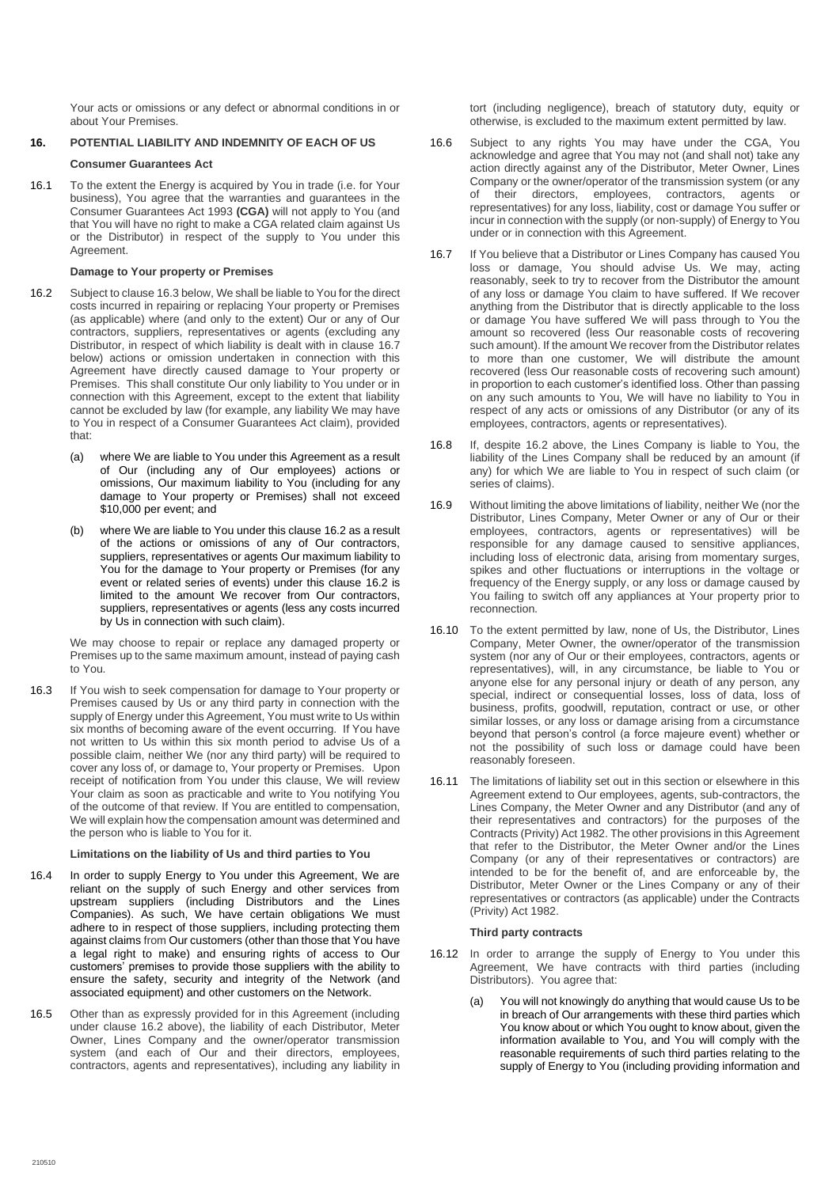Your acts or omissions or any defect or abnormal conditions in or about Your Premises.

## <span id="page-8-0"></span>**16. POTENTIAL LIABILITY AND INDEMNITY OF EACH OF US**

## **Consumer Guarantees Act**

16.1 To the extent the Energy is acquired by You in trade (i.e. for Your business), You agree that the warranties and guarantees in the Consumer Guarantees Act 1993 **(CGA)** will not apply to You (and that You will have no right to make a CGA related claim against Us or the Distributor) in respect of the supply to You under this Agreement.

## **Damage to Your property or Premises**

- <span id="page-8-2"></span>16.2 Subject to clause 16.3 below, We shall be liable to You for the direct costs incurred in repairing or replacing Your property or Premises (as applicable) where (and only to the extent) Our or any of Our contractors, suppliers, representatives or agents (excluding any Distributor, in respect of which liability is dealt with in clause [16.7](#page-8-1) below) actions or omission undertaken in connection with this Agreement have directly caused damage to Your property or Premises. This shall constitute Our only liability to You under or in connection with this Agreement, except to the extent that liability cannot be excluded by law (for example, any liability We may have to You in respect of a Consumer Guarantees Act claim), provided that:
	- (a) where We are liable to You under this Agreement as a result of Our (including any of Our employees) actions or omissions, Our maximum liability to You (including for any damage to Your property or Premises) shall not exceed \$10,000 per event; and
	- (b) where We are liable to You under this claus[e 16.2](#page-8-2) as a result of the actions or omissions of any of Our contractors, suppliers, representatives or agents Our maximum liability to You for the damage to Your property or Premises (for any event or related series of events) under this clause [16.2](#page-8-2) is limited to the amount We recover from Our contractors, suppliers, representatives or agents (less any costs incurred by Us in connection with such claim).

We may choose to repair or replace any damaged property or Premises up to the same maximum amount, instead of paying cash to You.

16.3 If You wish to seek compensation for damage to Your property or Premises caused by Us or any third party in connection with the supply of Energy under this Agreement, You must write to Us within six months of becoming aware of the event occurring. If You have not written to Us within this six month period to advise Us of a possible claim, neither We (nor any third party) will be required to cover any loss of, or damage to, Your property or Premises. Upon receipt of notification from You under this clause, We will review Your claim as soon as practicable and write to You notifying You of the outcome of that review. If You are entitled to compensation, We will explain how the compensation amount was determined and the person who is liable to You for it.

## **Limitations on the liability of Us and third parties to You**

- 16.4 In order to supply Energy to You under this Agreement, We are reliant on the supply of such Energy and other services from upstream suppliers (including Distributors and the Lines Companies). As such, We have certain obligations We must adhere to in respect of those suppliers, including protecting them against claims from Our customers (other than those that You have a legal right to make) and ensuring rights of access to Our customers' premises to provide those suppliers with the ability to ensure the safety, security and integrity of the Network (and associated equipment) and other customers on the Network.
- 16.5 Other than as expressly provided for in this Agreement (including under clause [16.2](#page-8-2) above), the liability of each Distributor, Meter Owner, Lines Company and the owner/operator transmission system (and each of Our and their directors, employees, contractors, agents and representatives), including any liability in

tort (including negligence), breach of statutory duty, equity or otherwise, is excluded to the maximum extent permitted by law.

- 16.6 Subject to any rights You may have under the CGA, You acknowledge and agree that You may not (and shall not) take any action directly against any of the Distributor, Meter Owner, Lines Company or the owner/operator of the transmission system (or any of their directors, employees, contractors, agents or representatives) for any loss, liability, cost or damage You suffer or incur in connection with the supply (or non-supply) of Energy to You under or in connection with this Agreement.
- <span id="page-8-1"></span>16.7 If You believe that a Distributor or Lines Company has caused You loss or damage, You should advise Us. We may, acting reasonably, seek to try to recover from the Distributor the amount of any loss or damage You claim to have suffered. If We recover anything from the Distributor that is directly applicable to the loss or damage You have suffered We will pass through to You the amount so recovered (less Our reasonable costs of recovering such amount). If the amount We recover from the Distributor relates to more than one customer, We will distribute the amount recovered (less Our reasonable costs of recovering such amount) in proportion to each customer's identified loss. Other than passing on any such amounts to You, We will have no liability to You in respect of any acts or omissions of any Distributor (or any of its employees, contractors, agents or representatives).
- 16.8 If, despite [16.2](#page-8-2) above, the Lines Company is liable to You, the liability of the Lines Company shall be reduced by an amount (if any) for which We are liable to You in respect of such claim (or series of claims).
- 16.9 Without limiting the above limitations of liability, neither We (nor the Distributor, Lines Company, Meter Owner or any of Our or their employees, contractors, agents or representatives) will be responsible for any damage caused to sensitive appliances, including loss of electronic data, arising from momentary surges, spikes and other fluctuations or interruptions in the voltage or frequency of the Energy supply, or any loss or damage caused by You failing to switch off any appliances at Your property prior to reconnection.
- 16.10 To the extent permitted by law, none of Us, the Distributor, Lines Company, Meter Owner, the owner/operator of the transmission system (nor any of Our or their employees, contractors, agents or representatives), will, in any circumstance, be liable to You or anyone else for any personal injury or death of any person, any special, indirect or consequential losses, loss of data, loss of business, profits, goodwill, reputation, contract or use, or other similar losses, or any loss or damage arising from a circumstance beyond that person's control (a force majeure event) whether or not the possibility of such loss or damage could have been reasonably foreseen.
- 16.11 The limitations of liability set out in this section or elsewhere in this Agreement extend to Our employees, agents, sub-contractors, the Lines Company, the Meter Owner and any Distributor (and any of their representatives and contractors) for the purposes of the Contracts (Privity) Act 1982. The other provisions in this Agreement that refer to the Distributor, the Meter Owner and/or the Lines Company (or any of their representatives or contractors) are intended to be for the benefit of, and are enforceable by, the Distributor, Meter Owner or the Lines Company or any of their representatives or contractors (as applicable) under the Contracts (Privity) Act 1982.

## **Third party contracts**

- 16.12 In order to arrange the supply of Energy to You under this Agreement, We have contracts with third parties (including Distributors). You agree that:
	- (a) You will not knowingly do anything that would cause Us to be in breach of Our arrangements with these third parties which You know about or which You ought to know about, given the information available to You, and You will comply with the reasonable requirements of such third parties relating to the supply of Energy to You (including providing information and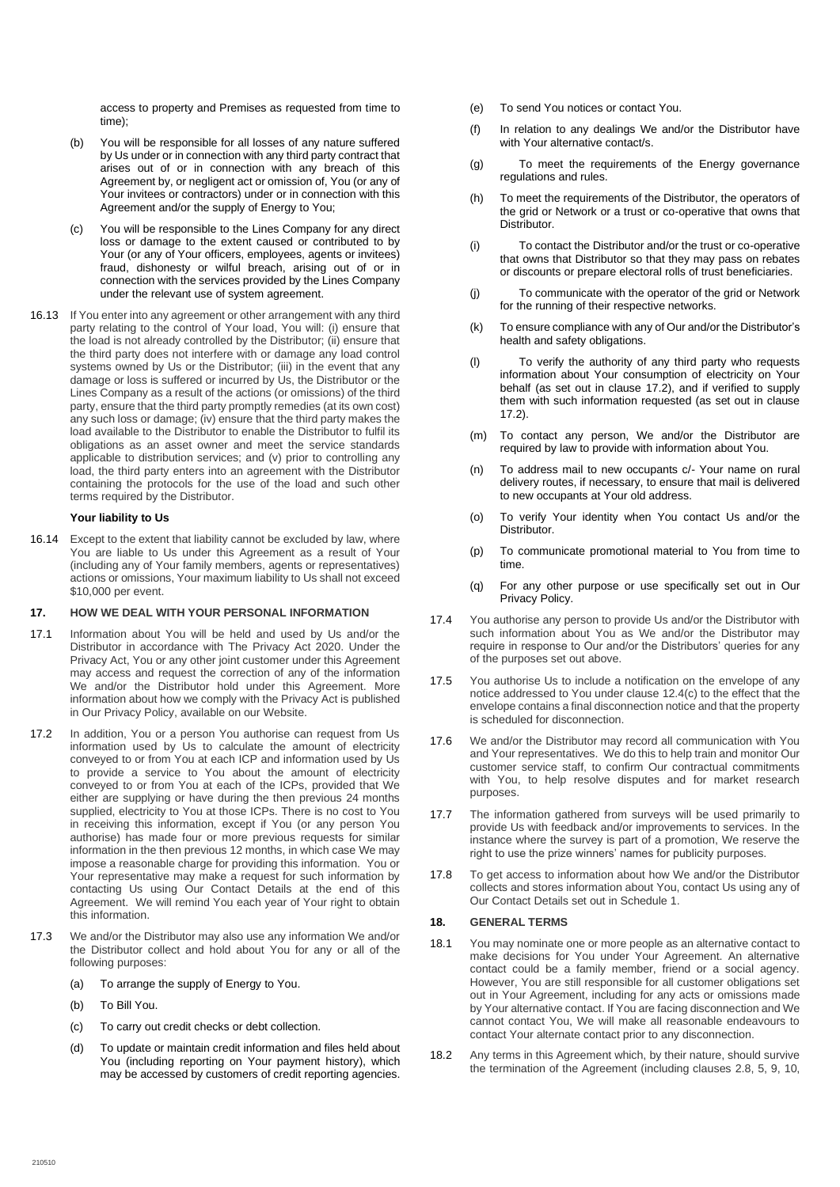access to property and Premises as requested from time to time);

- (b) You will be responsible for all losses of any nature suffered by Us under or in connection with any third party contract that arises out of or in connection with any breach of this Agreement by, or negligent act or omission of, You (or any of Your invitees or contractors) under or in connection with this Agreement and/or the supply of Energy to You;
- (c) You will be responsible to the Lines Company for any direct loss or damage to the extent caused or contributed to by Your (or any of Your officers, employees, agents or invitees) fraud, dishonesty or wilful breach, arising out of or in connection with the services provided by the Lines Company under the relevant use of system agreement.
- 16.13 If You enter into any agreement or other arrangement with any third party relating to the control of Your load, You will: (i) ensure that the load is not already controlled by the Distributor; (ii) ensure that the third party does not interfere with or damage any load control systems owned by Us or the Distributor; (iii) in the event that any damage or loss is suffered or incurred by Us, the Distributor or the Lines Company as a result of the actions (or omissions) of the third party, ensure that the third party promptly remedies (at its own cost) any such loss or damage; (iv) ensure that the third party makes the load available to the Distributor to enable the Distributor to fulfil its obligations as an asset owner and meet the service standards applicable to distribution services; and (v) prior to controlling any load, the third party enters into an agreement with the Distributor containing the protocols for the use of the load and such other terms required by the Distributor.

## **Your liability to Us**

16.14 Except to the extent that liability cannot be excluded by law, where You are liable to Us under this Agreement as a result of Your (including any of Your family members, agents or representatives) actions or omissions, Your maximum liability to Us shall not exceed \$10,000 per event.

#### <span id="page-9-0"></span>**17. HOW WE DEAL WITH YOUR PERSONAL INFORMATION**

- 17.1 Information about You will be held and used by Us and/or the Distributor in accordance with The Privacy Act 2020. Under the Privacy Act, You or any other joint customer under this Agreement may access and request the correction of any of the information We and/or the Distributor hold under this Agreement. More information about how we comply with the Privacy Act is published in Our Privacy Policy, available on our Website.
- <span id="page-9-2"></span>17.2 In addition, You or a person You authorise can request from Us information used by Us to calculate the amount of electricity conveyed to or from You at each ICP and information used by Us to provide a service to You about the amount of electricity conveyed to or from You at each of the ICPs, provided that We either are supplying or have during the then previous 24 months supplied, electricity to You at those ICPs. There is no cost to You in receiving this information, except if You (or any person You authorise) has made four or more previous requests for similar information in the then previous 12 months, in which case We may impose a reasonable charge for providing this information. You or Your representative may make a request for such information by contacting Us using Our Contact Details at the end of this Agreement. We will remind You each year of Your right to obtain this information.
- 17.3 We and/or the Distributor may also use any information We and/or the Distributor collect and hold about You for any or all of the following purposes:
	- (a) To arrange the supply of Energy to You.
	- (b) To Bill You.
	- (c) To carry out credit checks or debt collection.
	- (d) To update or maintain credit information and files held about You (including reporting on Your payment history), which may be accessed by customers of credit reporting agencies.
- (e) To send You notices or contact You.
- (f) In relation to any dealings We and/or the Distributor have with Your alternative contact/s.
- (g) To meet the requirements of the Energy governance regulations and rules.
- (h) To meet the requirements of the Distributor, the operators of the grid or Network or a trust or co-operative that owns that Distributor.
- (i) To contact the Distributor and/or the trust or co-operative that owns that Distributor so that they may pass on rebates or discounts or prepare electoral rolls of trust beneficiaries.
- (j) To communicate with the operator of the grid or Network for the running of their respective networks.
- (k) To ensure compliance with any of Our and/or the Distributor's health and safety obligations.
- (l) To verify the authority of any third party who requests information about Your consumption of electricity on Your behalf (as set out in clause [17.2\)](#page-9-2), and if verified to supply them with such information requested (as set out in clause [17.2\)](#page-9-2).
- (m) To contact any person, We and/or the Distributor are required by law to provide with information about You.
- (n) To address mail to new occupants c/- Your name on rural delivery routes, if necessary, to ensure that mail is delivered to new occupants at Your old address.
- (o) To verify Your identity when You contact Us and/or the Distributor.
- (p) To communicate promotional material to You from time to time.
- (q) For any other purpose or use specifically set out in Our Privacy Policy.
- 17.4 You authorise any person to provide Us and/or the Distributor with such information about You as We and/or the Distributor may require in response to Our and/or the Distributors' queries for any of the purposes set out above.
- 17.5 You authorise Us to include a notification on the envelope of any notice addressed to You under claus[e 12.4\(c\)](#page-5-1) to the effect that the envelope contains a final disconnection notice and that the property is scheduled for disconnection.
- 17.6 We and/or the Distributor may record all communication with You and Your representatives. We do this to help train and monitor Our customer service staff, to confirm Our contractual commitments with You, to help resolve disputes and for market research purposes.
- 17.7 The information gathered from surveys will be used primarily to provide Us with feedback and/or improvements to services. In the instance where the survey is part of a promotion, We reserve the right to use the prize winners' names for publicity purposes.
- 17.8 To get access to information about how We and/or the Distributor collects and stores information about You, contact Us using any of Our Contact Details set out in Schedule 1.

### <span id="page-9-1"></span>**18. GENERAL TERMS**

- 18.1 You may nominate one or more people as an alternative contact to make decisions for You under Your Agreement. An alternative contact could be a family member, friend or a social agency. However, You are still responsible for all customer obligations set out in Your Agreement, including for any acts or omissions made by Your alternative contact. If You are facing disconnection and We cannot contact You, We will make all reasonable endeavours to contact Your alternate contact prior to any disconnection.
- 18.2 Any terms in this Agreement which, by their nature, should survive the termination of the Agreement (including clauses 2.8, 5, 9, 10,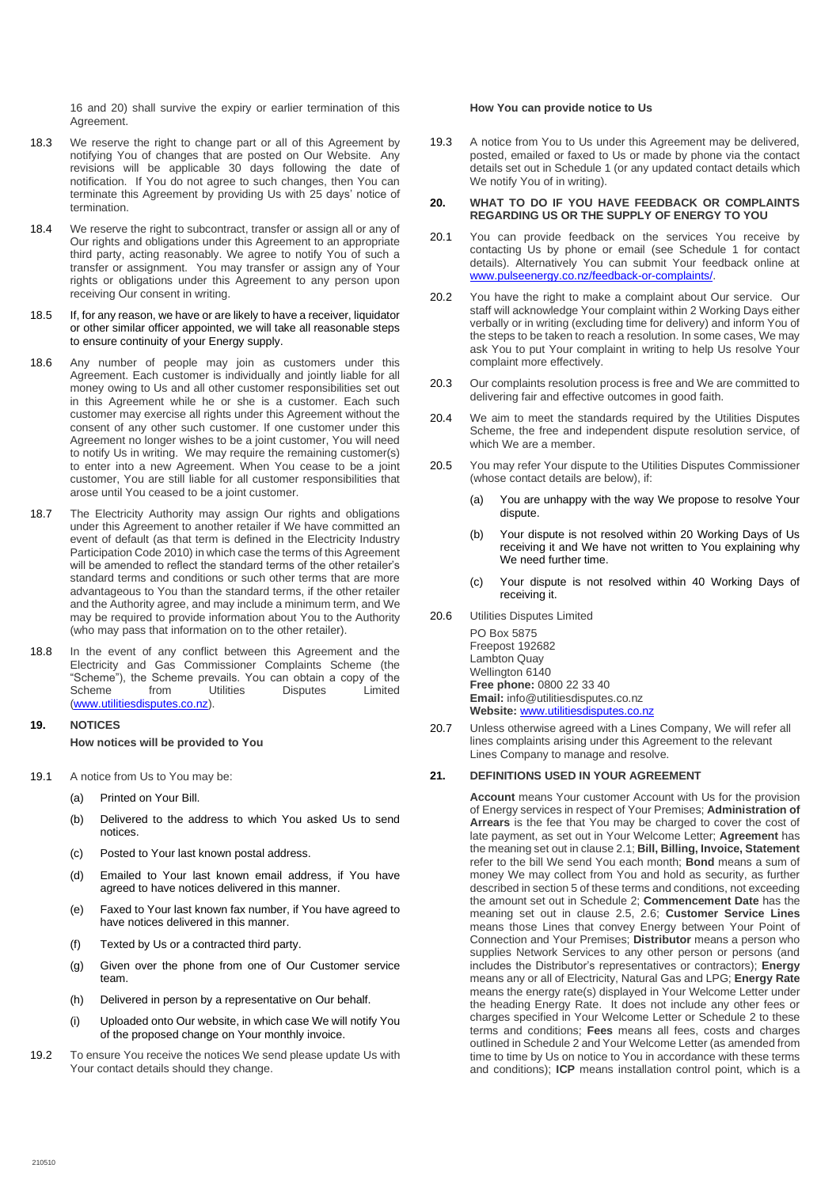16 and 20) shall survive the expiry or earlier termination of this Agreement.

- 18.3 We reserve the right to change part or all of this Agreement by notifying You of changes that are posted on Our Website. Any revisions will be applicable 30 days following the date of notification. If You do not agree to such changes, then You can terminate this Agreement by providing Us with 25 days' notice of termination.
- 18.4 We reserve the right to subcontract, transfer or assign all or any of Our rights and obligations under this Agreement to an appropriate third party, acting reasonably. We agree to notify You of such a transfer or assignment. You may transfer or assign any of Your rights or obligations under this Agreement to any person upon receiving Our consent in writing.
- 18.5 If, for any reason, we have or are likely to have a receiver, liquidator or other similar officer appointed, we will take all reasonable steps to ensure continuity of your Energy supply.
- 18.6 Any number of people may join as customers under this Agreement. Each customer is individually and jointly liable for all money owing to Us and all other customer responsibilities set out in this Agreement while he or she is a customer. Each such customer may exercise all rights under this Agreement without the consent of any other such customer. If one customer under this Agreement no longer wishes to be a joint customer, You will need to notify Us in writing. We may require the remaining customer(s) to enter into a new Agreement. When You cease to be a joint customer, You are still liable for all customer responsibilities that arose until You ceased to be a joint customer.
- 18.7 The Electricity Authority may assign Our rights and obligations under this Agreement to another retailer if We have committed an event of default (as that term is defined in the Electricity Industry Participation Code 2010) in which case the terms of this Agreement will be amended to reflect the standard terms of the other retailer's standard terms and conditions or such other terms that are more advantageous to You than the standard terms, if the other retailer and the Authority agree, and may include a minimum term, and We may be required to provide information about You to the Authority (who may pass that information on to the other retailer).
- 18.8 In the event of any conflict between this Agreement and the Electricity and Gas Commissioner Complaints Scheme (the "Scheme"), the Scheme prevails. You can obtain a copy of the **Disputes** [\(www.utilitiesdisputes.co.nz\)](http://www.utilitiesdisputes.co.nz/).

## <span id="page-10-0"></span>**19. NOTICES How notices will be provided to You**

- <span id="page-10-3"></span>19.1 A notice from Us to You may be:
	- (a) Printed on Your Bill.
	- (b) Delivered to the address to which You asked Us to send notices.
	- (c) Posted to Your last known postal address.
	- (d) Emailed to Your last known email address, if You have agreed to have notices delivered in this manner.
	- (e) Faxed to Your last known fax number, if You have agreed to have notices delivered in this manner.
	- (f) Texted by Us or a contracted third party.
	- (g) Given over the phone from one of Our Customer service team.
	- (h) Delivered in person by a representative on Our behalf.
	- (i) Uploaded onto Our website, in which case We will notify You of the proposed change on Your monthly invoice.
- 19.2 To ensure You receive the notices We send please update Us with Your contact details should they change.

#### **How You can provide notice to Us**

19.3 A notice from You to Us under this Agreement may be delivered, posted, emailed or faxed to Us or made by phone via the contact details set out in Schedule 1 (or any updated contact details which We notify You of in writing).

#### <span id="page-10-1"></span>**20. WHAT TO DO IF YOU HAVE FEEDBACK OR COMPLAINTS REGARDING US OR THE SUPPLY OF ENERGY TO YOU**

- 20.1 You can provide feedback on the services You receive by contacting Us by phone or email (see Schedule 1 for contact details). Alternatively You can submit Your feedback online at [www.pulseenergy.co.nz/feedback-or-complaints/.](http://www.pulseenergy.co.nz/feedback-or-complaints/)
- 20.2 You have the right to make a complaint about Our service. Our staff will acknowledge Your complaint within 2 Working Days either verbally or in writing (excluding time for delivery) and inform You of the steps to be taken to reach a resolution. In some cases, We may ask You to put Your complaint in writing to help Us resolve Your complaint more effectively.
- 20.3 Our complaints resolution process is free and We are committed to delivering fair and effective outcomes in good faith.
- 20.4 We aim to meet the standards required by the Utilities Disputes Scheme, the free and independent dispute resolution service, of which We are a member.
- 20.5 You may refer Your dispute to the Utilities Disputes Commissioner (whose contact details are below), if:
	- (a) You are unhappy with the way We propose to resolve Your dispute.
	- (b) Your dispute is not resolved within 20 Working Days of Us receiving it and We have not written to You explaining why We need further time.
	- (c) Your dispute is not resolved within 40 Working Days of receiving it.
- 20.6 Utilities Disputes Limited

PO Box 5875 Freepost 192682 Lambton Quay Wellington 6140 **Free phone:** 0800 22 33 40 **Email:** info@utilitiesdisputes.co.nz **Website:** [www.utilitiesdisputes.co.nz](http://www.utilitiesdisputes.co.nz/)

20.7 Unless otherwise agreed with a Lines Company, We will refer all lines complaints arising under this Agreement to the relevant Lines Company to manage and resolve.

### <span id="page-10-2"></span>**21. DEFINITIONS USED IN YOUR AGREEMENT**

**Account** means Your customer Account with Us for the provision of Energy services in respect of Your Premises; **Administration of Arrears** is the fee that You may be charged to cover the cost of late payment, as set out in Your Welcome Letter; **Agreement** has the meaning set out in claus[e 2.1;](#page-1-9) **Bill, Billing, Invoice, Statement**  refer to the bill We send You each month; **Bond** means a sum of money We may collect from You and hold as security, as further described in sectio[n 5](#page-1-4) of these terms and conditions, not exceeding the amount set out in Schedule 2; **Commencement Date** has the meaning set out in clause 2.5, 2.6; **Customer Service Lines** means those Lines that convey Energy between Your Point of Connection and Your Premises; **Distributor** means a person who supplies Network Services to any other person or persons (and includes the Distributor's representatives or contractors); **Energy**  means any or all of Electricity, Natural Gas and LPG; **Energy Rate** means the energy rate(s) displayed in Your Welcome Letter under the heading Energy Rate. It does not include any other fees or charges specified in Your Welcome Letter or Schedule 2 to these terms and conditions; **Fees** means all fees, costs and charges outlined in Schedule 2 and Your Welcome Letter (as amended from time to time by Us on notice to You in accordance with these terms and conditions); **ICP** means installation control point, which is a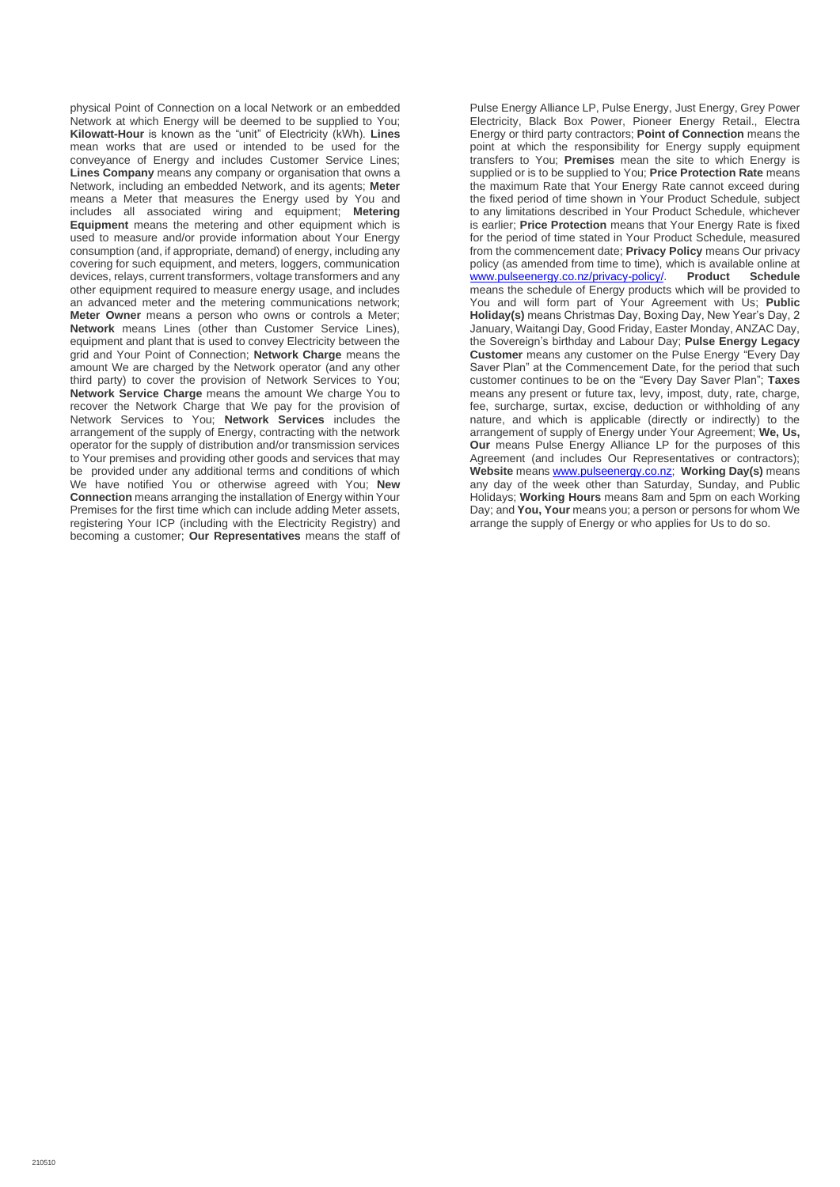physical Point of Connection on a local Network or an embedded Network at which Energy will be deemed to be supplied to You; **Kilowatt-Hour** is known as the "unit" of Electricity (kWh). **Lines** mean works that are used or intended to be used for the conveyance of Energy and includes Customer Service Lines; **Lines Company** means any company or organisation that owns a Network, including an embedded Network, and its agents; **Meter** means a Meter that measures the Energy used by You and includes all associated wiring and equipment; **Metering Equipment** means the metering and other equipment which is used to measure and/or provide information about Your Energy consumption (and, if appropriate, demand) of energy, including any covering for such equipment, and meters, loggers, communication devices, relays, current transformers, voltage transformers and any other equipment required to measure energy usage, and includes an advanced meter and the metering communications network; **Meter Owner** means a person who owns or controls a Meter; **Network** means Lines (other than Customer Service Lines), equipment and plant that is used to convey Electricity between the grid and Your Point of Connection; **Network Charge** means the amount We are charged by the Network operator (and any other third party) to cover the provision of Network Services to You; **Network Service Charge** means the amount We charge You to recover the Network Charge that We pay for the provision of Network Services to You; **Network Services** includes the arrangement of the supply of Energy, contracting with the network operator for the supply of distribution and/or transmission services to Your premises and providing other goods and services that may be provided under any additional terms and conditions of which We have notified You or otherwise agreed with You; **New Connection** means arranging the installation of Energy within Your Premises for the first time which can include adding Meter assets, registering Your ICP (including with the Electricity Registry) and becoming a customer; **Our Representatives** means the staff of

Pulse Energy Alliance LP, Pulse Energy, Just Energy, Grey Power Electricity, Black Box Power, Pioneer Energy Retail., Electra Energy or third party contractors; **Point of Connection** means the point at which the responsibility for Energy supply equipment transfers to You; **Premises** mean the site to which Energy is supplied or is to be supplied to You; **Price Protection Rate** means the maximum Rate that Your Energy Rate cannot exceed during the fixed period of time shown in Your Product Schedule, subject to any limitations described in Your Product Schedule, whichever is earlier; **Price Protection** means that Your Energy Rate is fixed for the period of time stated in Your Product Schedule, measured from the commencement date; **Privacy Policy** means Our privacy policy (as amended from time to time), which is available online at [www.pulseenergy.co.nz/privacy-policy/.](http://www.pulseenergy.co.nz/privacy-policy/) **Product Schedule**  means the schedule of Energy products which will be provided to You and will form part of Your Agreement with Us; **Public Holiday(s)** means Christmas Day, Boxing Day, New Year's Day, 2 January, Waitangi Day, Good Friday, Easter Monday, ANZAC Day, the Sovereign's birthday and Labour Day; **Pulse Energy Legacy Customer** means any customer on the Pulse Energy "Every Day Saver Plan" at the Commencement Date, for the period that such customer continues to be on the "Every Day Saver Plan"; **Taxes**  means any present or future tax, levy, impost, duty, rate, charge, fee, surcharge, surtax, excise, deduction or withholding of any nature, and which is applicable (directly or indirectly) to the arrangement of supply of Energy under Your Agreement; **We, Us, Our** means Pulse Energy Alliance LP for the purposes of this Agreement (and includes Our Representatives or contractors); **Website** means [www.pulseenergy.co.nz;](http://www.pulseenergy.co.nz/) **Working Day(s)** means any day of the week other than Saturday, Sunday, and Public Holidays; **Working Hours** means 8am and 5pm on each Working Day; and **You, Your** means you; a person or persons for whom We arrange the supply of Energy or who applies for Us to do so.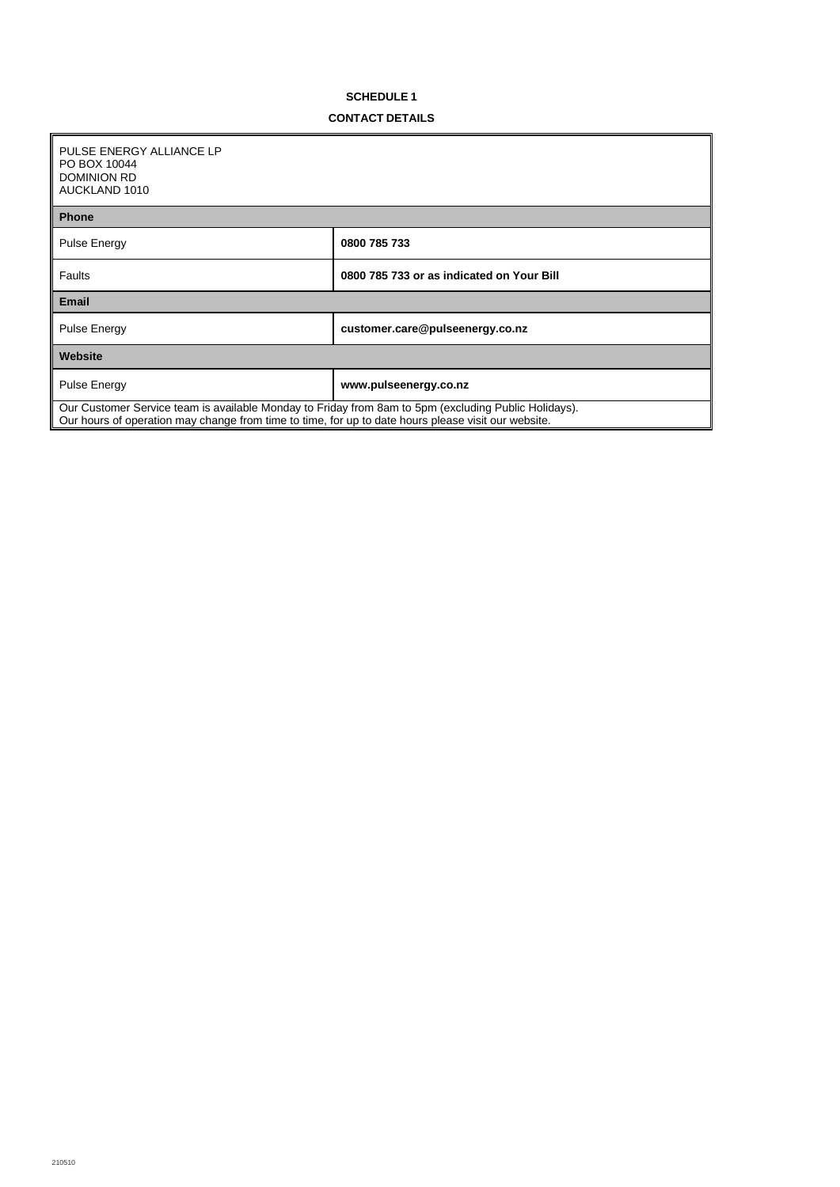# **SCHEDULE 1**

## **CONTACT DETAILS**

<span id="page-12-0"></span>

| PULSE ENERGY ALLIANCE LP<br>PO BOX 10044<br><b>DOMINION RD</b>                                                                                                                                              |                                           |  |
|-------------------------------------------------------------------------------------------------------------------------------------------------------------------------------------------------------------|-------------------------------------------|--|
| AUCKLAND 1010                                                                                                                                                                                               |                                           |  |
| <b>Phone</b>                                                                                                                                                                                                |                                           |  |
| Pulse Energy                                                                                                                                                                                                | 0800 785 733                              |  |
| Faults                                                                                                                                                                                                      | 0800 785 733 or as indicated on Your Bill |  |
| <b>Email</b>                                                                                                                                                                                                |                                           |  |
| Pulse Energy                                                                                                                                                                                                | customer.care@pulseenergy.co.nz           |  |
| Website                                                                                                                                                                                                     |                                           |  |
| Pulse Energy                                                                                                                                                                                                | www.pulseenergy.co.nz                     |  |
| Our Customer Service team is available Monday to Friday from 8am to 5pm (excluding Public Holidays).<br>Our hours of operation may change from time to time, for up to date hours please visit our website. |                                           |  |